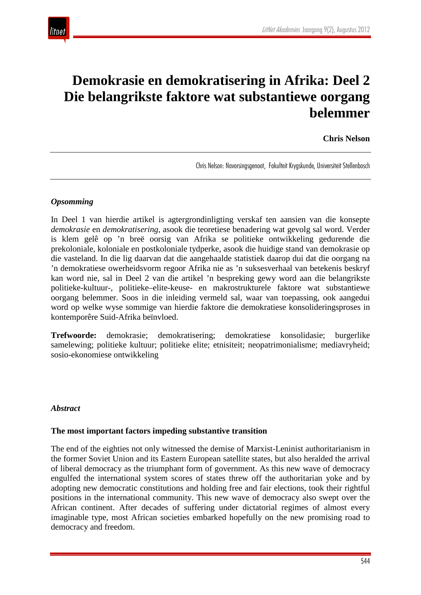

# **Demokrasie en demokratisering in Afrika: Deel 2 Die belangrikste faktore wat substantiewe oorgang belemmer**

#### **Chris Nelson**

Chris Nelson: Navorsingsgenoot, Fakulteit Krygskunde, Universiteit Stellenbosch

#### *Opsomming*

In Deel 1 van hierdie artikel is agtergrondinligting verskaf ten aansien van die konsepte *demokrasie* en *demokratisering*, asook die teoretiese benadering wat gevolg sal word. Verder is klem gelê op 'n breë oorsig van Afrika se politieke ontwikkeling gedurende die prekoloniale, koloniale en postkoloniale tydperke, asook die huidige stand van demokrasie op die vasteland. In die lig daarvan dat die aangehaalde statistiek daarop dui dat die oorgang na 'n demokratiese owerheidsvorm regoor Afrika nie as 'n suksesverhaal van betekenis beskryf kan word nie, sal in Deel 2 van die artikel 'n bespreking gewy word aan die belangrikste politieke-kultuur-, politieke–elite-keuse- en makrostrukturele faktore wat substantiewe oorgang belemmer. Soos in die inleiding vermeld sal, waar van toepassing, ook aangedui word op welke wyse sommige van hierdie faktore die demokratiese konsolideringsproses in kontemporêre Suid-Afrika beïnvloed.

**Trefwoorde:** demokrasie; demokratisering; demokratiese konsolidasie; burgerlike samelewing; politieke kultuur; politieke elite; etnisiteit; neopatrimonialisme; mediavryheid; sosio-ekonomiese ontwikkeling

#### *Abstract*

#### **The most important factors impeding substantive transition**

The end of the eighties not only witnessed the demise of Marxist-Leninist authoritarianism in the former Soviet Union and its Eastern European satellite states, but also heralded the arrival of liberal democracy as the triumphant form of government. As this new wave of democracy engulfed the international system scores of states threw off the authoritarian yoke and by adopting new democratic constitutions and holding free and fair elections, took their rightful positions in the international community. This new wave of democracy also swept over the African continent. After decades of suffering under dictatorial regimes of almost every imaginable type, most African societies embarked hopefully on the new promising road to democracy and freedom.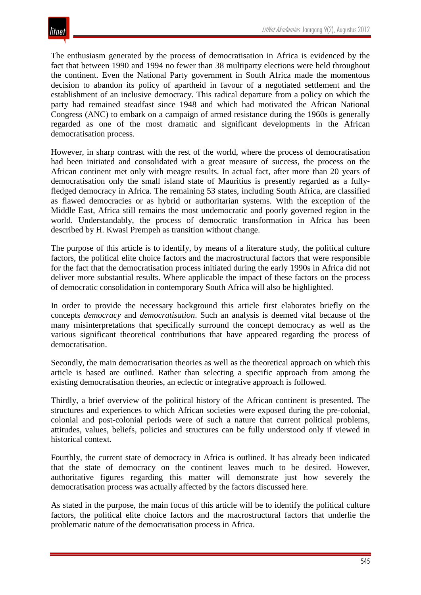The enthusiasm generated by the process of democratisation in Africa is evidenced by the fact that between 1990 and 1994 no fewer than 38 multiparty elections were held throughout the continent. Even the National Party government in South Africa made the momentous decision to abandon its policy of apartheid in favour of a negotiated settlement and the establishment of an inclusive democracy. This radical departure from a policy on which the party had remained steadfast since 1948 and which had motivated the African National Congress (ANC) to embark on a campaign of armed resistance during the 1960s is generally regarded as one of the most dramatic and significant developments in the African democratisation process.

However, in sharp contrast with the rest of the world, where the process of democratisation had been initiated and consolidated with a great measure of success, the process on the African continent met only with meagre results. In actual fact, after more than 20 years of democratisation only the small island state of Mauritius is presently regarded as a fullyfledged democracy in Africa. The remaining 53 states, including South Africa, are classified as flawed democracies or as hybrid or authoritarian systems. With the exception of the Middle East, Africa still remains the most undemocratic and poorly governed region in the world. Understandably, the process of democratic transformation in Africa has been described by H. Kwasi Prempeh as transition without change.

The purpose of this article is to identify, by means of a literature study, the political culture factors, the political elite choice factors and the macrostructural factors that were responsible for the fact that the democratisation process initiated during the early 1990s in Africa did not deliver more substantial results. Where applicable the impact of these factors on the process of democratic consolidation in contemporary South Africa will also be highlighted.

In order to provide the necessary background this article first elaborates briefly on the concepts *democracy* and *democratisation*. Such an analysis is deemed vital because of the many misinterpretations that specifically surround the concept democracy as well as the various significant theoretical contributions that have appeared regarding the process of democratisation.

Secondly, the main democratisation theories as well as the theoretical approach on which this article is based are outlined. Rather than selecting a specific approach from among the existing democratisation theories, an eclectic or integrative approach is followed.

Thirdly, a brief overview of the political history of the African continent is presented. The structures and experiences to which African societies were exposed during the pre-colonial, colonial and post-colonial periods were of such a nature that current political problems, attitudes, values, beliefs, policies and structures can be fully understood only if viewed in historical context.

Fourthly, the current state of democracy in Africa is outlined. It has already been indicated that the state of democracy on the continent leaves much to be desired. However, authoritative figures regarding this matter will demonstrate just how severely the democratisation process was actually affected by the factors discussed here.

As stated in the purpose, the main focus of this article will be to identify the political culture factors, the political elite choice factors and the macrostructural factors that underlie the problematic nature of the democratisation process in Africa.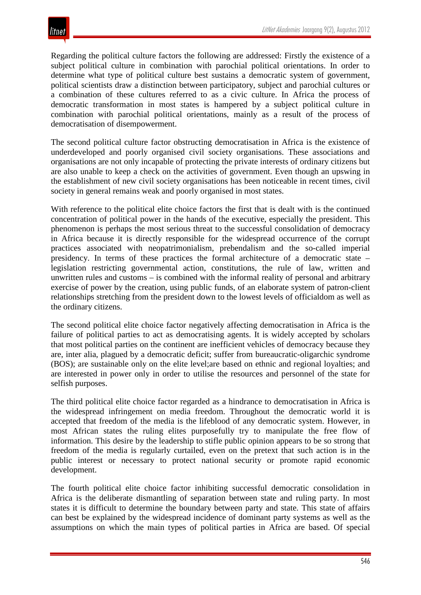Regarding the political culture factors the following are addressed: Firstly the existence of a subject political culture in combination with parochial political orientations. In order to determine what type of political culture best sustains a democratic system of government, political scientists draw a distinction between participatory, subject and parochial cultures or a combination of these cultures referred to as a civic culture. In Africa the process of democratic transformation in most states is hampered by a subject political culture in combination with parochial political orientations, mainly as a result of the process of democratisation of disempowerment.

The second political culture factor obstructing democratisation in Africa is the existence of underdeveloped and poorly organised civil society organisations. These associations and organisations are not only incapable of protecting the private interests of ordinary citizens but are also unable to keep a check on the activities of government. Even though an upswing in the establishment of new civil society organisations has been noticeable in recent times, civil society in general remains weak and poorly organised in most states.

With reference to the political elite choice factors the first that is dealt with is the continued concentration of political power in the hands of the executive, especially the president. This phenomenon is perhaps the most serious threat to the successful consolidation of democracy in Africa because it is directly responsible for the widespread occurrence of the corrupt practices associated with neopatrimonialism, prebendalism and the so-called imperial presidency. In terms of these practices the formal architecture of a democratic state – legislation restricting governmental action, constitutions, the rule of law, written and unwritten rules and customs – is combined with the informal reality of personal and arbitrary exercise of power by the creation, using public funds, of an elaborate system of patron-client relationships stretching from the president down to the lowest levels of officialdom as well as the ordinary citizens.

The second political elite choice factor negatively affecting democratisation in Africa is the failure of political parties to act as democratising agents. It is widely accepted by scholars that most political parties on the continent are inefficient vehicles of democracy because they are, inter alia, plagued by a democratic deficit; suffer from bureaucratic-oligarchic syndrome (BOS); are sustainable only on the elite level;are based on ethnic and regional loyalties; and are interested in power only in order to utilise the resources and personnel of the state for selfish purposes.

The third political elite choice factor regarded as a hindrance to democratisation in Africa is the widespread infringement on media freedom. Throughout the democratic world it is accepted that freedom of the media is the lifeblood of any democratic system. However, in most African states the ruling elites purposefully try to manipulate the free flow of information. This desire by the leadership to stifle public opinion appears to be so strong that freedom of the media is regularly curtailed, even on the pretext that such action is in the public interest or necessary to protect national security or promote rapid economic development.

The fourth political elite choice factor inhibiting successful democratic consolidation in Africa is the deliberate dismantling of separation between state and ruling party. In most states it is difficult to determine the boundary between party and state. This state of affairs can best be explained by the widespread incidence of dominant party systems as well as the assumptions on which the main types of political parties in Africa are based. Of special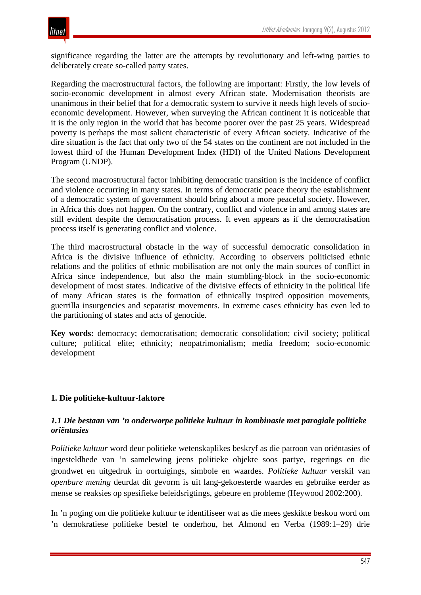significance regarding the latter are the attempts by revolutionary and left-wing parties to deliberately create so-called party states.

Regarding the macrostructural factors, the following are important: Firstly, the low levels of socio-economic development in almost every African state. Modernisation theorists are unanimous in their belief that for a democratic system to survive it needs high levels of socioeconomic development. However, when surveying the African continent it is noticeable that it is the only region in the world that has become poorer over the past 25 years. Widespread poverty is perhaps the most salient characteristic of every African society. Indicative of the dire situation is the fact that only two of the 54 states on the continent are not included in the lowest third of the Human Development Index (HDI) of the United Nations Development Program (UNDP).

The second macrostructural factor inhibiting democratic transition is the incidence of conflict and violence occurring in many states. In terms of democratic peace theory the establishment of a democratic system of government should bring about a more peaceful society. However, in Africa this does not happen. On the contrary, conflict and violence in and among states are still evident despite the democratisation process. It even appears as if the democratisation process itself is generating conflict and violence.

The third macrostructural obstacle in the way of successful democratic consolidation in Africa is the divisive influence of ethnicity. According to observers politicised ethnic relations and the politics of ethnic mobilisation are not only the main sources of conflict in Africa since independence, but also the main stumbling-block in the socio-economic development of most states. Indicative of the divisive effects of ethnicity in the political life of many African states is the formation of ethnically inspired opposition movements, guerrilla insurgencies and separatist movements. In extreme cases ethnicity has even led to the partitioning of states and acts of genocide.

**Key words:** democracy; democratisation; democratic consolidation; civil society; political culture; political elite; ethnicity; neopatrimonialism; media freedom; socio-economic development

## **1. Die politieke-kultuur-faktore**

#### *1.1 Die bestaan van 'n onderworpe politieke kultuur in kombinasie met parogiale politieke oriëntasies*

*Politieke kultuur* word deur politieke wetenskaplikes beskryf as die patroon van oriëntasies of ingesteldhede van 'n samelewing jeens politieke objekte soos partye, regerings en die grondwet en uitgedruk in oortuigings, simbole en waardes. *Politieke kultuur* verskil van *openbare mening* deurdat dit gevorm is uit lang-gekoesterde waardes en gebruike eerder as mense se reaksies op spesifieke beleidsrigtings, gebeure en probleme (Heywood 2002:200).

In 'n poging om die politieke kultuur te identifiseer wat as die mees geskikte beskou word om 'n demokratiese politieke bestel te onderhou, het Almond en Verba (1989:1–29) drie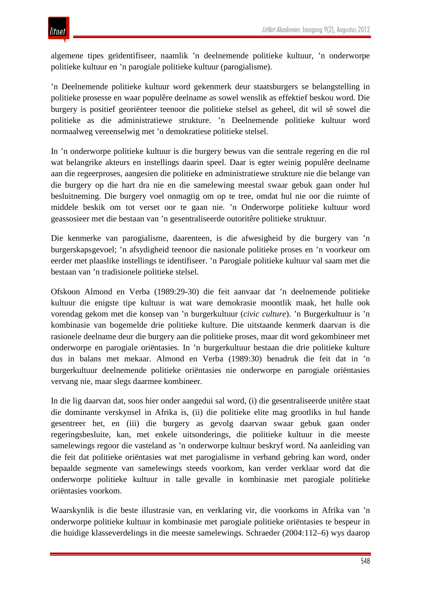algemene tipes geïdentifiseer, naamlik 'n deelnemende politieke kultuur, 'n onderworpe politieke kultuur en 'n parogiale politieke kultuur (parogialisme).

'n Deelnemende politieke kultuur word gekenmerk deur staatsburgers se belangstelling in politieke prosesse en waar populêre deelname as sowel wenslik as effektief beskou word. Die burgery is positief georiënteer teenoor die politieke stelsel as geheel, dit wil sê sowel die politieke as die administratiewe strukture. 'n Deelnemende politieke kultuur word normaalweg vereenselwig met 'n demokratiese politieke stelsel.

In 'n onderworpe politieke kultuur is die burgery bewus van die sentrale regering en die rol wat belangrike akteurs en instellings daarin speel. Daar is egter weinig populêre deelname aan die regeerproses, aangesien die politieke en administratiewe strukture nie die belange van die burgery op die hart dra nie en die samelewing meestal swaar gebuk gaan onder hul besluitneming. Die burgery voel onmagtig om op te tree, omdat hul nie oor die ruimte of middele beskik om tot verset oor te gaan nie. 'n Onderworpe politieke kultuur word geassosieer met die bestaan van 'n gesentraliseerde outoritêre politieke struktuur.

Die kenmerke van parogialisme, daarenteen, is die afwesigheid by die burgery van 'n burgerskapsgevoel; 'n afsydigheid teenoor die nasionale politieke proses en 'n voorkeur om eerder met plaaslike instellings te identifiseer. 'n Parogiale politieke kultuur val saam met die bestaan van 'n tradisionele politieke stelsel.

Ofskoon Almond en Verba (1989:29-30) die feit aanvaar dat 'n deelnemende politieke kultuur die enigste tipe kultuur is wat ware demokrasie moontlik maak, het hulle ook vorendag gekom met die konsep van 'n burgerkultuur (*civic culture*). 'n Burgerkultuur is 'n kombinasie van bogemelde drie politieke kulture. Die uitstaande kenmerk daarvan is die rasionele deelname deur die burgery aan die politieke proses, maar dit word gekombineer met onderworpe en parogiale oriëntasies. In 'n burgerkultuur bestaan die drie politieke kulture dus in balans met mekaar. Almond en Verba (1989:30) benadruk die feit dat in 'n burgerkultuur deelnemende politieke oriëntasies nie onderworpe en parogiale oriëntasies vervang nie, maar slegs daarmee kombineer.

In die lig daarvan dat, soos hier onder aangedui sal word, (i) die gesentraliseerde unitêre staat die dominante verskynsel in Afrika is, (ii) die politieke elite mag grootliks in hul hande gesentreer het, en (iii) die burgery as gevolg daarvan swaar gebuk gaan onder regeringsbesluite, kan, met enkele uitsonderings, die politieke kultuur in die meeste samelewings regoor die vasteland as 'n onderworpe kultuur beskryf word. Na aanleiding van die feit dat politieke oriëntasies wat met parogialisme in verband gebring kan word, onder bepaalde segmente van samelewings steeds voorkom, kan verder verklaar word dat die onderworpe politieke kultuur in talle gevalle in kombinasie met parogiale politieke oriëntasies voorkom.

Waarskynlik is die beste illustrasie van, en verklaring vir, die voorkoms in Afrika van 'n onderworpe politieke kultuur in kombinasie met parogiale politieke oriëntasies te bespeur in die huidige klasseverdelings in die meeste samelewings. Schraeder (2004:112–6) wys daarop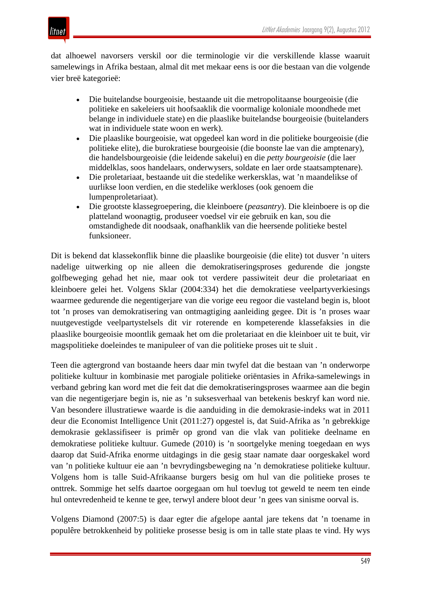

dat alhoewel navorsers verskil oor die terminologie vir die verskillende klasse waaruit samelewings in Afrika bestaan, almal dit met mekaar eens is oor die bestaan van die volgende vier breë kategorieë:

- Die buitelandse bourgeoisie, bestaande uit die metropolitaanse bourgeoisie (die politieke en sakeleiers uit hoofsaaklik die voormalige koloniale moondhede met belange in individuele state) en die plaaslike buitelandse bourgeoisie (buitelanders wat in individuele state woon en werk).
- Die plaaslike bourgeoisie, wat opgedeel kan word in die politieke bourgeoisie (die politieke elite), die burokratiese bourgeoisie (die boonste lae van die amptenary), die handelsbourgeoisie (die leidende sakelui) en die *petty bourgeoisie* (die laer middelklas, soos handelaars, onderwysers, soldate en laer orde staatsamptenare).
- Die proletariaat, bestaande uit die stedelike werkersklas, wat 'n maandelikse of uurlikse loon verdien, en die stedelike werkloses (ook genoem die lumpenproletariaat).
- Die grootste klassegroepering, die kleinboere (*peasantry*). Die kleinboere is op die platteland woonagtig, produseer voedsel vir eie gebruik en kan, sou die omstandighede dit noodsaak, onafhanklik van die heersende politieke bestel funksioneer.

Dit is bekend dat klassekonflik binne die plaaslike bourgeoisie (die elite) tot dusver 'n uiters nadelige uitwerking op nie alleen die demokratiseringsproses gedurende die jongste golfbeweging gehad het nie, maar ook tot verdere passiwiteit deur die proletariaat en kleinboere gelei het. Volgens Sklar (2004:334) het die demokratiese veelpartyverkiesings waarmee gedurende die negentigerjare van die vorige eeu regoor die vasteland begin is, bloot tot 'n proses van demokratisering van ontmagtiging aanleiding gegee. Dit is 'n proses waar nuutgevestigde veelpartystelsels dit vir roterende en kompeterende klassefaksies in die plaaslike bourgeoisie moontlik gemaak het om die proletariaat en die kleinboer uit te buit, vir magspolitieke doeleindes te manipuleer of van die politieke proses uit te sluit .

Teen die agtergrond van bostaande heers daar min twyfel dat die bestaan van 'n onderworpe politieke kultuur in kombinasie met parogiale politieke oriëntasies in Afrika-samelewings in verband gebring kan word met die feit dat die demokratiseringsproses waarmee aan die begin van die negentigerjare begin is, nie as 'n suksesverhaal van betekenis beskryf kan word nie. Van besondere illustratiewe waarde is die aanduiding in die demokrasie-indeks wat in 2011 deur die Economist Intelligence Unit (2011:27) opgestel is, dat Suid-Afrika as 'n gebrekkige demokrasie geklassifiseer is primêr op grond van die vlak van politieke deelname en demokratiese politieke kultuur. Gumede (2010) is 'n soortgelyke mening toegedaan en wys daarop dat Suid-Afrika enorme uitdagings in die gesig staar namate daar oorgeskakel word van 'n politieke kultuur eie aan 'n bevrydingsbeweging na 'n demokratiese politieke kultuur. Volgens hom is talle Suid-Afrikaanse burgers besig om hul van die politieke proses te onttrek. Sommige het selfs daartoe oorgegaan om hul toevlug tot geweld te neem ten einde hul ontevredenheid te kenne te gee, terwyl andere bloot deur 'n gees van sinisme oorval is.

Volgens Diamond (2007:5) is daar egter die afgelope aantal jare tekens dat 'n toename in populêre betrokkenheid by politieke prosesse besig is om in talle state plaas te vind. Hy wys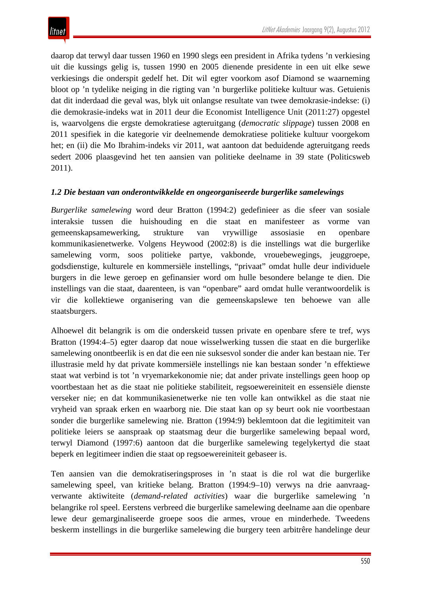daarop dat terwyl daar tussen 1960 en 1990 slegs een president in Afrika tydens 'n verkiesing uit die kussings gelig is, tussen 1990 en 2005 dienende presidente in een uit elke sewe verkiesings die onderspit gedelf het. Dit wil egter voorkom asof Diamond se waarneming bloot op 'n tydelike neiging in die rigting van 'n burgerlike politieke kultuur was. Getuienis dat dit inderdaad die geval was, blyk uit onlangse resultate van twee demokrasie-indekse: (i) die demokrasie-indeks wat in 2011 deur die Economist Intelligence Unit (2011:27) opgestel is, waarvolgens die ergste demokratiese agteruitgang (*democratic slippage*) tussen 2008 en 2011 spesifiek in die kategorie vir deelnemende demokratiese politieke kultuur voorgekom het; en (ii) die Mo Ibrahim-indeks vir 2011, wat aantoon dat beduidende agteruitgang reeds sedert 2006 plaasgevind het ten aansien van politieke deelname in 39 state (Politicsweb 2011).

## *1.2 Die bestaan van onderontwikkelde en ongeorganiseerde burgerlike samelewings*

*Burgerlike samelewing* word deur Bratton (1994:2) gedefinieer as die sfeer van sosiale interaksie tussen die huishouding en die staat en manifesteer as vorme van gemeenskapsamewerking, strukture van vrywillige assosiasie en openbare kommunikasienetwerke. Volgens Heywood (2002:8) is die instellings wat die burgerlike samelewing vorm, soos politieke partye, vakbonde, vrouebewegings, jeuggroepe, godsdienstige, kulturele en kommersiële instellings, "privaat" omdat hulle deur individuele burgers in die lewe geroep en gefinansier word om hulle besondere belange te dien. Die instellings van die staat, daarenteen, is van "openbare" aard omdat hulle verantwoordelik is vir die kollektiewe organisering van die gemeenskapslewe ten behoewe van alle staatsburgers.

Alhoewel dit belangrik is om die onderskeid tussen private en openbare sfere te tref, wys Bratton (1994:4–5) egter daarop dat noue wisselwerking tussen die staat en die burgerlike samelewing onontbeerlik is en dat die een nie suksesvol sonder die ander kan bestaan nie. Ter illustrasie meld hy dat private kommersiële instellings nie kan bestaan sonder 'n effektiewe staat wat verbind is tot 'n vryemarkekonomie nie; dat ander private instellings geen hoop op voortbestaan het as die staat nie politieke stabiliteit, regsoewereiniteit en essensiële dienste verseker nie; en dat kommunikasienetwerke nie ten volle kan ontwikkel as die staat nie vryheid van spraak erken en waarborg nie. Die staat kan op sy beurt ook nie voortbestaan sonder die burgerlike samelewing nie. Bratton (1994:9) beklemtoon dat die legitimiteit van politieke leiers se aanspraak op staatsmag deur die burgerlike samelewing bepaal word, terwyl Diamond (1997:6) aantoon dat die burgerlike samelewing tegelykertyd die staat beperk en legitimeer indien die staat op regsoewereiniteit gebaseer is.

Ten aansien van die demokratiseringsproses in 'n staat is die rol wat die burgerlike samelewing speel, van kritieke belang. Bratton (1994:9–10) verwys na drie aanvraagverwante aktiwiteite (*demand-related activities*) waar die burgerlike samelewing 'n belangrike rol speel. Eerstens verbreed die burgerlike samelewing deelname aan die openbare lewe deur gemarginaliseerde groepe soos die armes, vroue en minderhede. Tweedens beskerm instellings in die burgerlike samelewing die burgery teen arbitrêre handelinge deur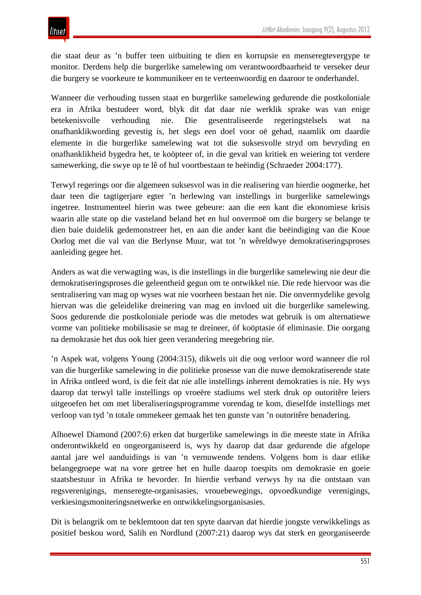die staat deur as 'n buffer teen uitbuiting te dien en korrupsie en menseregtevergype te monitor. Derdens help die burgerlike samelewing om verantwoordbaarheid te verseker deur die burgery se voorkeure te kommunikeer en te verteenwoordig en daaroor te onderhandel.

Wanneer die verhouding tussen staat en burgerlike samelewing gedurende die postkoloniale era in Afrika bestudeer word, blyk dit dat daar nie werklik sprake was van enige betekenisvolle verhouding nie. Die gesentraliseerde regeringstelsels wat na onafhanklikwording gevestig is, het slegs een doel voor oë gehad, naamlik om daardie elemente in die burgerlike samelewing wat tot die suksesvolle stryd om bevryding en onafhanklikheid bygedra het, te koöpteer of, in die geval van kritiek en weiering tot verdere samewerking, die swye op te lê of hul voortbestaan te beëindig (Schraeder 2004:177).

Terwyl regerings oor die algemeen suksesvol was in die realisering van hierdie oogmerke, het daar teen die tagtigerjare egter 'n herlewing van instellings in burgerlike samelewings ingetree. Instrumenteel hierin was twee gebeure: aan die een kant die ekonomiese krisis waarin alle state op die vasteland beland het en hul onvermoë om die burgery se belange te dien baie duidelik gedemonstreer het, en aan die ander kant die beëindiging van die Koue Oorlog met die val van die Berlynse Muur, wat tot 'n wêreldwye demokratiseringsproses aanleiding gegee het.

Anders as wat die verwagting was, is die instellings in die burgerlike samelewing nie deur die demokratiseringsproses die geleentheid gegun om te ontwikkel nie. Die rede hiervoor was die sentralisering van mag op wyses wat nie voorheen bestaan het nie. Die onvermydelike gevolg hiervan was die geleidelike dreinering van mag en invloed uit die burgerlike samelewing. Soos gedurende die postkoloniale periode was die metodes wat gebruik is om alternatiewe vorme van politieke mobilisasie se mag te dreineer, óf koöptasie óf eliminasie. Die oorgang na demokrasie het dus ook hier geen verandering meegebring nie.

'n Aspek wat, volgens Young (2004:315), dikwels uit die oog verloor word wanneer die rol van die burgerlike samelewing in die politieke prosesse van die nuwe demokratiserende state in Afrika ontleed word, is die feit dat nie alle instellings inherent demokraties is nie. Hy wys daarop dat terwyl talle instellings op vroeëre stadiums wel sterk druk op outoritêre leiers uitgeoefen het om met liberaliseringsprogramme vorendag te kom, dieselfde instellings met verloop van tyd 'n totale ommekeer gemaak het ten gunste van 'n outoritêre benadering.

Alhoewel Diamond (2007:6) erken dat burgerlike samelewings in die meeste state in Afrika onderontwikkeld en ongeorganiseerd is, wys hy daarop dat daar gedurende die afgelope aantal jare wel aanduidings is van 'n vernuwende tendens. Volgens hom is daar etlike belangegroepe wat na vore getree het en hulle daarop toespits om demokrasie en goeie staatsbestuur in Afrika te bevorder. In hierdie verband verwys hy na die ontstaan van regsverenigings, menseregte-organisasies, vrouebewegings, opvoedkundige verenigings, verkiesingsmoniteringsnetwerke en ontwikkelingsorganisasies.

Dit is belangrik om te beklemtoon dat ten spyte daarvan dat hierdie jongste verwikkelings as positief beskou word, Salih en Nordlund (2007:21) daarop wys dat sterk en georganiseerde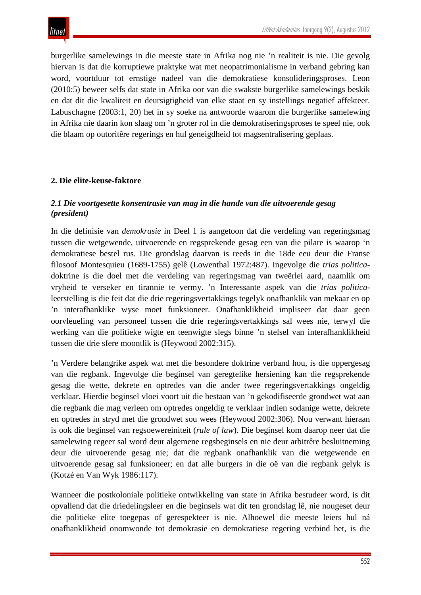burgerlike samelewings in die meeste state in Afrika nog nie 'n realiteit is nie. Die gevolg hiervan is dat die korruptiewe praktyke wat met neopatrimonialisme in verband gebring kan word, voortduur tot ernstige nadeel van die demokratiese konsolideringsproses. Leon (2010:5) beweer selfs dat state in Afrika oor van die swakste burgerlike samelewings beskik en dat dit die kwaliteit en deursigtigheid van elke staat en sy instellings negatief affekteer. Labuschagne (2003:1, 20) het in sy soeke na antwoorde waarom die burgerlike samelewing in Afrika nie daarin kon slaag om 'n groter rol in die demokratiseringsproses te speel nie, ook die blaam op outoritêre regerings en hul geneigdheid tot magsentralisering geplaas.

## **2. Die elite-keuse-faktore**

## *2.1 Die voortgesette konsentrasie van mag in die hande van die uitvoerende gesag (president)*

In die definisie van *demokrasie* in Deel 1 is aangetoon dat die verdeling van regeringsmag tussen die wetgewende, uitvoerende en regsprekende gesag een van die pilare is waarop 'n demokratiese bestel rus. Die grondslag daarvan is reeds in die 18de eeu deur die Franse filosoof Montesquieu (1689-1755) gelê (Lowenthal 1972:487). Ingevolge die *trias politica*doktrine is die doel met die verdeling van regeringsmag van tweërlei aard, naamlik om vryheid te verseker en tirannie te vermy. 'n Interessante aspek van die *trias politica*leerstelling is die feit dat die drie regeringsvertakkings tegelyk onafhanklik van mekaar en op 'n interafhanklike wyse moet funksioneer. Onafhanklikheid impliseer dat daar geen oorvleueling van personeel tussen die drie regeringsvertakkings sal wees nie, terwyl die werking van die politieke wigte en teenwigte slegs binne 'n stelsel van interafhanklikheid tussen die drie sfere moontlik is (Heywood 2002:315).

'n Verdere belangrike aspek wat met die besondere doktrine verband hou, is die oppergesag van die regbank. Ingevolge die beginsel van geregtelike hersiening kan die regsprekende gesag die wette, dekrete en optredes van die ander twee regeringsvertakkings ongeldig verklaar. Hierdie beginsel vloei voort uit die bestaan van 'n gekodifiseerde grondwet wat aan die regbank die mag verleen om optredes ongeldig te verklaar indien sodanige wette, dekrete en optredes in stryd met die grondwet sou wees (Heywood 2002:306). Nou verwant hieraan is ook die beginsel van regsoewereiniteit (*rule of law*). Die beginsel kom daarop neer dat die samelewing regeer sal word deur algemene regsbeginsels en nie deur arbitrêre besluitneming deur die uitvoerende gesag nie; dat die regbank onafhanklik van die wetgewende en uitvoerende gesag sal funksioneer; en dat alle burgers in die oë van die regbank gelyk is (Kotzé en Van Wyk 1986:117).

Wanneer die postkoloniale politieke ontwikkeling van state in Afrika bestudeer word, is dit opvallend dat die driedelingsleer en die beginsels wat dit ten grondslag lê, nie nougeset deur die politieke elite toegepas of gerespekteer is nie. Alhoewel die meeste leiers hul ná onafhanklikheid onomwonde tot demokrasie en demokratiese regering verbind het, is die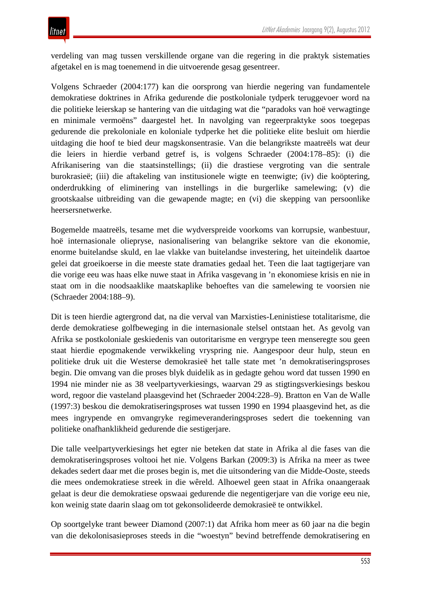verdeling van mag tussen verskillende organe van die regering in die praktyk sistematies afgetakel en is mag toenemend in die uitvoerende gesag gesentreer.

Volgens Schraeder (2004:177) kan die oorsprong van hierdie negering van fundamentele demokratiese doktrines in Afrika gedurende die postkoloniale tydperk teruggevoer word na die politieke leierskap se hantering van die uitdaging wat die "paradoks van hoë verwagtinge en minimale vermoëns" daargestel het. In navolging van regeerpraktyke soos toegepas gedurende die prekoloniale en koloniale tydperke het die politieke elite besluit om hierdie uitdaging die hoof te bied deur magskonsentrasie. Van die belangrikste maatreëls wat deur die leiers in hierdie verband getref is, is volgens Schraeder (2004:178–85): (i) die Afrikanisering van die staatsinstellings; (ii) die drastiese vergroting van die sentrale burokrasieë; (iii) die aftakeling van institusionele wigte en teenwigte; (iv) die koöptering, onderdrukking of eliminering van instellings in die burgerlike samelewing; (v) die grootskaalse uitbreiding van die gewapende magte; en (vi) die skepping van persoonlike heersersnetwerke.

Bogemelde maatreëls, tesame met die wydverspreide voorkoms van korrupsie, wanbestuur, hoë internasionale oliepryse, nasionalisering van belangrike sektore van die ekonomie, enorme buitelandse skuld, en lae vlakke van buitelandse investering, het uiteindelik daartoe gelei dat groeikoerse in die meeste state dramaties gedaal het. Teen die laat tagtigerjare van die vorige eeu was haas elke nuwe staat in Afrika vasgevang in 'n ekonomiese krisis en nie in staat om in die noodsaaklike maatskaplike behoeftes van die samelewing te voorsien nie (Schraeder 2004:188–9).

Dit is teen hierdie agtergrond dat, na die verval van Marxisties-Leninistiese totalitarisme, die derde demokratiese golfbeweging in die internasionale stelsel ontstaan het. As gevolg van Afrika se postkoloniale geskiedenis van outoritarisme en vergrype teen menseregte sou geen staat hierdie epogmakende verwikkeling vryspring nie. Aangespoor deur hulp, steun en politieke druk uit die Westerse demokrasieë het talle state met 'n demokratiseringsproses begin. Die omvang van die proses blyk duidelik as in gedagte gehou word dat tussen 1990 en 1994 nie minder nie as 38 veelpartyverkiesings, waarvan 29 as stigtingsverkiesings beskou word, regoor die vasteland plaasgevind het (Schraeder 2004:228–9). Bratton en Van de Walle (1997:3) beskou die demokratiseringsproses wat tussen 1990 en 1994 plaasgevind het, as die mees ingrypende en omvangryke regimeveranderingsproses sedert die toekenning van politieke onafhanklikheid gedurende die sestigerjare.

Die talle veelpartyverkiesings het egter nie beteken dat state in Afrika al die fases van die demokratiseringsproses voltooi het nie. Volgens Barkan (2009:3) is Afrika na meer as twee dekades sedert daar met die proses begin is, met die uitsondering van die Midde-Ooste, steeds die mees ondemokratiese streek in die wêreld. Alhoewel geen staat in Afrika onaangeraak gelaat is deur die demokratiese opswaai gedurende die negentigerjare van die vorige eeu nie, kon weinig state daarin slaag om tot gekonsolideerde demokrasieë te ontwikkel.

Op soortgelyke trant beweer Diamond (2007:1) dat Afrika hom meer as 60 jaar na die begin van die dekolonisasieproses steeds in die "woestyn" bevind betreffende demokratisering en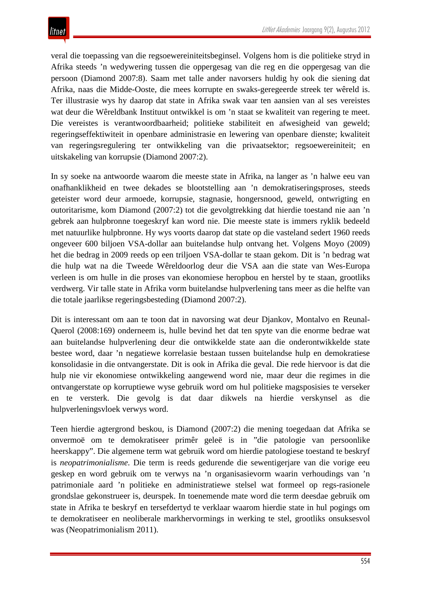veral die toepassing van die regsoewereiniteitsbeginsel. Volgens hom is die politieke stryd in Afrika steeds 'n wedywering tussen die oppergesag van die reg en die oppergesag van die persoon (Diamond 2007:8). Saam met talle ander navorsers huldig hy ook die siening dat Afrika, naas die Midde-Ooste, die mees korrupte en swaks-geregeerde streek ter wêreld is. Ter illustrasie wys hy daarop dat state in Afrika swak vaar ten aansien van al ses vereistes wat deur die Wêreldbank Instituut ontwikkel is om 'n staat se kwaliteit van regering te meet. Die vereistes is verantwoordbaarheid; politieke stabiliteit en afwesigheid van geweld; regeringseffektiwiteit in openbare administrasie en lewering van openbare dienste; kwaliteit van regeringsregulering ter ontwikkeling van die privaatsektor; regsoewereiniteit; en uitskakeling van korrupsie (Diamond 2007:2).

In sy soeke na antwoorde waarom die meeste state in Afrika, na langer as 'n halwe eeu van onafhanklikheid en twee dekades se blootstelling aan 'n demokratiseringsproses, steeds geteister word deur armoede, korrupsie, stagnasie, hongersnood, geweld, ontwrigting en outoritarisme, kom Diamond (2007:2) tot die gevolgtrekking dat hierdie toestand nie aan 'n gebrek aan hulpbronne toegeskryf kan word nie. Die meeste state is immers ryklik bedeeld met natuurlike hulpbronne. Hy wys voorts daarop dat state op die vasteland sedert 1960 reeds ongeveer 600 biljoen VSA-dollar aan buitelandse hulp ontvang het. Volgens Moyo (2009) het die bedrag in 2009 reeds op een triljoen VSA-dollar te staan gekom. Dit is 'n bedrag wat die hulp wat na die Tweede Wêreldoorlog deur die VSA aan die state van Wes-Europa verleen is om hulle in die proses van ekonomiese heropbou en herstel by te staan, grootliks verdwerg. Vir talle state in Afrika vorm buitelandse hulpverlening tans meer as die helfte van die totale jaarlikse regeringsbesteding (Diamond 2007:2).

Dit is interessant om aan te toon dat in navorsing wat deur Djankov, Montalvo en Reunal-Querol (2008:169) onderneem is, hulle bevind het dat ten spyte van die enorme bedrae wat aan buitelandse hulpverlening deur die ontwikkelde state aan die onderontwikkelde state bestee word, daar 'n negatiewe korrelasie bestaan tussen buitelandse hulp en demokratiese konsolidasie in die ontvangerstate. Dit is ook in Afrika die geval. Die rede hiervoor is dat die hulp nie vir ekonomiese ontwikkeling aangewend word nie, maar deur die regimes in die ontvangerstate op korruptiewe wyse gebruik word om hul politieke magsposisies te verseker en te versterk. Die gevolg is dat daar dikwels na hierdie verskynsel as die hulpverleningsvloek verwys word.

Teen hierdie agtergrond beskou, is Diamond (2007:2) die mening toegedaan dat Afrika se onvermoë om te demokratiseer primêr geleë is in "die patologie van persoonlike heerskappy". Die algemene term wat gebruik word om hierdie patologiese toestand te beskryf is *neopatrimonialisme*. Die term is reeds gedurende die sewentigerjare van die vorige eeu geskep en word gebruik om te verwys na 'n organisasievorm waarin verhoudings van 'n patrimoniale aard 'n politieke en administratiewe stelsel wat formeel op regs-rasionele grondslae gekonstrueer is, deurspek. In toenemende mate word die term deesdae gebruik om state in Afrika te beskryf en tersefdertyd te verklaar waarom hierdie state in hul pogings om te demokratiseer en neoliberale markhervormings in werking te stel, grootliks onsuksesvol was (Neopatrimonialism 2011).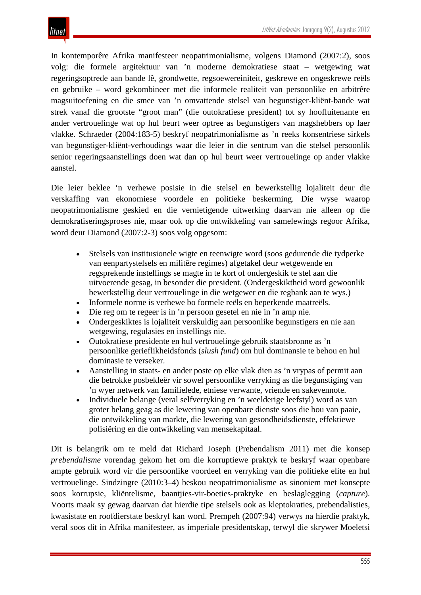In kontemporêre Afrika manifesteer neopatrimonialisme, volgens Diamond (2007:2), soos volg: die formele argitektuur van 'n moderne demokratiese staat – wetgewing wat regeringsoptrede aan bande lê, grondwette, regsoewereiniteit, geskrewe en ongeskrewe reëls en gebruike – word gekombineer met die informele realiteit van persoonlike en arbitrêre magsuitoefening en die smee van 'n omvattende stelsel van begunstiger-kliënt-bande wat strek vanaf die grootste "groot man" (die outokratiese president) tot sy hoofluitenante en ander vertrouelinge wat op hul beurt weer optree as begunstigers van magshebbers op laer vlakke. Schraeder (2004:183-5) beskryf neopatrimonialisme as 'n reeks konsentriese sirkels van begunstiger-kliënt-verhoudings waar die leier in die sentrum van die stelsel persoonlik senior regeringsaanstellings doen wat dan op hul beurt weer vertrouelinge op ander vlakke aanstel.

Die leier beklee 'n verhewe posisie in die stelsel en bewerkstellig lojaliteit deur die verskaffing van ekonomiese voordele en politieke beskerming. Die wyse waarop neopatrimonialisme geskied en die vernietigende uitwerking daarvan nie alleen op die demokratiseringsproses nie, maar ook op die ontwikkeling van samelewings regoor Afrika, word deur Diamond (2007:2-3) soos volg opgesom:

- Stelsels van institusionele wigte en teenwigte word (soos gedurende die tydperke van eenpartystelsels en militêre regimes) afgetakel deur wetgewende en regsprekende instellings se magte in te kort of ondergeskik te stel aan die uitvoerende gesag, in besonder die president. (Ondergeskiktheid word gewoonlik bewerkstellig deur vertrouelinge in die wetgewer en die regbank aan te wys.)
- Informele norme is verhewe bo formele reëls en beperkende maatreëls.
- Die reg om te regeer is in 'n persoon gesetel en nie in 'n amp nie.
- Ondergeskiktes is lojaliteit verskuldig aan persoonlike begunstigers en nie aan wetgewing, regulasies en instellings nie.
- Outokratiese presidente en hul vertrouelinge gebruik staatsbronne as 'n persoonlike gerieflikheidsfonds (*slush fund*) om hul dominansie te behou en hul dominasie te verseker.
- Aanstelling in staats- en ander poste op elke vlak dien as 'n vrypas of permit aan die betrokke posbekleër vir sowel persoonlike verryking as die begunstiging van 'n wyer netwerk van familielede, etniese verwante, vriende en sakevennote.
- Individuele belange (veral selfverryking en 'n weelderige leefstyl) word as van groter belang geag as die lewering van openbare dienste soos die bou van paaie, die ontwikkeling van markte, die lewering van gesondheidsdienste, effektiewe polisiëring en die ontwikkeling van mensekapitaal.

Dit is belangrik om te meld dat Richard Joseph (Prebendalism 2011) met die konsep *prebendalisme* vorendag gekom het om die korruptiewe praktyk te beskryf waar openbare ampte gebruik word vir die persoonlike voordeel en verryking van die politieke elite en hul vertrouelinge. Sindzingre (2010:3–4) beskou neopatrimonialisme as sinoniem met konsepte soos korrupsie, kliëntelisme, baantjies-vir-boeties-praktyke en beslaglegging (*capture*). Voorts maak sy gewag daarvan dat hierdie tipe stelsels ook as kleptokraties, prebendalisties, kwasistate en roofdierstate beskryf kan word. Prempeh (2007:94) verwys na hierdie praktyk, veral soos dit in Afrika manifesteer, as imperiale presidentskap, terwyl die skrywer Moeletsi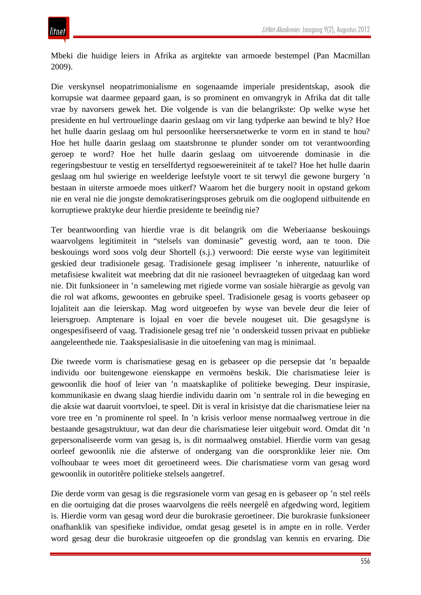Mbeki die huidige leiers in Afrika as argitekte van armoede bestempel (Pan Macmillan 2009).

Die verskynsel neopatrimonialisme en sogenaamde imperiale presidentskap, asook die korrupsie wat daarmee gepaard gaan, is so prominent en omvangryk in Afrika dat dit talle vrae by navorsers gewek het. Die volgende is van die belangrikste: Op welke wyse het presidente en hul vertrouelinge daarin geslaag om vir lang tydperke aan bewind te bly? Hoe het hulle daarin geslaag om hul persoonlike heersersnetwerke te vorm en in stand te hou? Hoe het hulle daarin geslaag om staatsbronne te plunder sonder om tot verantwoording geroep te word? Hoe het hulle daarin geslaag om uitvoerende dominasie in die regeringsbestuur te vestig en terselfdertyd regsoewereiniteit af te takel? Hoe het hulle daarin geslaag om hul swierige en weelderige leefstyle voort te sit terwyl die gewone burgery 'n bestaan in uiterste armoede moes uitkerf? Waarom het die burgery nooit in opstand gekom nie en veral nie die jongste demokratiseringsproses gebruik om die ooglopend uitbuitende en korruptiewe praktyke deur hierdie presidente te beeïndig nie?

Ter beantwoording van hierdie vrae is dit belangrik om die Weberiaanse beskouings waarvolgens legitimiteit in "stelsels van dominasie" gevestig word, aan te toon. Die beskouings word soos volg deur Shortell (s.j.) verwoord: Die eerste wyse van legitimiteit geskied deur tradisionele gesag. Tradisionele gesag impliseer 'n inherente, natuurlike of metafisiese kwaliteit wat meebring dat dit nie rasioneel bevraagteken of uitgedaag kan word nie. Dit funksioneer in 'n samelewing met rigiede vorme van sosiale hiërargie as gevolg van die rol wat afkoms, gewoontes en gebruike speel. Tradisionele gesag is voorts gebaseer op lojaliteit aan die leierskap. Mag word uitgeoefen by wyse van bevele deur die leier of leiersgroep. Amptenare is lojaal en voer die bevele nougeset uit. Die gesagslyne is ongespesifiseerd of vaag. Tradisionele gesag tref nie 'n onderskeid tussen privaat en publieke aangeleenthede nie. Taakspesialisasie in die uitoefening van mag is minimaal.

Die tweede vorm is charismatiese gesag en is gebaseer op die persepsie dat 'n bepaalde individu oor buitengewone eienskappe en vermoëns beskik. Die charismatiese leier is gewoonlik die hoof of leier van 'n maatskaplike of politieke beweging. Deur inspirasie, kommunikasie en dwang slaag hierdie individu daarin om 'n sentrale rol in die beweging en die aksie wat daaruit voortvloei, te speel. Dit is veral in krisistye dat die charismatiese leier na vore tree en 'n prominente rol speel. In 'n krisis verloor mense normaalweg vertroue in die bestaande gesagstruktuur, wat dan deur die charismatiese leier uitgebuit word. Omdat dit 'n gepersonaliseerde vorm van gesag is, is dit normaalweg onstabiel. Hierdie vorm van gesag oorleef gewoonlik nie die afsterwe of ondergang van die oorspronklike leier nie. Om volhoubaar te wees moet dit geroetineerd wees. Die charismatiese vorm van gesag word gewoonlik in outoritêre politieke stelsels aangetref.

Die derde vorm van gesag is die regsrasionele vorm van gesag en is gebaseer op 'n stel reëls en die oortuiging dat die proses waarvolgens die reëls neergelê en afgedwing word, legitiem is. Hierdie vorm van gesag word deur die burokrasie geroetineer. Die burokrasie funksioneer onafhanklik van spesifieke individue, omdat gesag gesetel is in ampte en in rolle. Verder word gesag deur die burokrasie uitgeoefen op die grondslag van kennis en ervaring. Die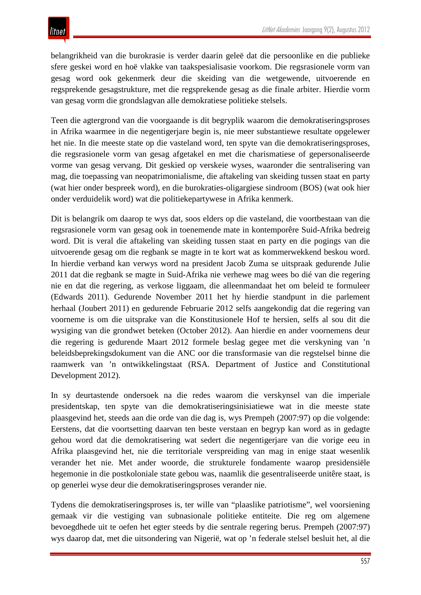belangrikheid van die burokrasie is verder daarin geleë dat die persoonlike en die publieke sfere geskei word en hoë vlakke van taakspesialisasie voorkom. Die regsrasionele vorm van gesag word ook gekenmerk deur die skeiding van die wetgewende, uitvoerende en regsprekende gesagstrukture, met die regsprekende gesag as die finale arbiter. Hierdie vorm van gesag vorm die grondslagvan alle demokratiese politieke stelsels.

Teen die agtergrond van die voorgaande is dit begryplik waarom die demokratiseringsproses in Afrika waarmee in die negentigerjare begin is, nie meer substantiewe resultate opgelewer het nie. In die meeste state op die vasteland word, ten spyte van die demokratiseringsproses, die regsrasionele vorm van gesag afgetakel en met die charismatiese of gepersonaliseerde vorme van gesag vervang. Dit geskied op verskeie wyses, waaronder die sentralisering van mag, die toepassing van neopatrimonialisme, die aftakeling van skeiding tussen staat en party (wat hier onder bespreek word), en die burokraties-oligargiese sindroom (BOS) (wat ook hier onder verduidelik word) wat die politiekepartywese in Afrika kenmerk.

Dit is belangrik om daarop te wys dat, soos elders op die vasteland, die voortbestaan van die regsrasionele vorm van gesag ook in toenemende mate in kontemporêre Suid-Afrika bedreig word. Dit is veral die aftakeling van skeiding tussen staat en party en die pogings van die uitvoerende gesag om die regbank se magte in te kort wat as kommerwekkend beskou word. In hierdie verband kan verwys word na president Jacob Zuma se uitspraak gedurende Julie 2011 dat die regbank se magte in Suid-Afrika nie verhewe mag wees bo dié van die regering nie en dat die regering, as verkose liggaam, die alleenmandaat het om beleid te formuleer (Edwards 2011). Gedurende November 2011 het hy hierdie standpunt in die parlement herhaal (Joubert 2011) en gedurende Februarie 2012 selfs aangekondig dat die regering van voorneme is om die uitsprake van die Konstitusionele Hof te hersien, selfs al sou dit die wysiging van die grondwet beteken (October 2012). Aan hierdie en ander voornemens deur die regering is gedurende Maart 2012 formele beslag gegee met die verskyning van 'n beleidsbeprekingsdokument van die ANC oor die transformasie van die regstelsel binne die raamwerk van 'n ontwikkelingstaat (RSA. Department of Justice and Constitutional Development 2012).

In sy deurtastende ondersoek na die redes waarom die verskynsel van die imperiale presidentskap, ten spyte van die demokratiseringsinisiatiewe wat in die meeste state plaasgevind het, steeds aan die orde van die dag is, wys Prempeh (2007:97) op die volgende: Eerstens, dat die voortsetting daarvan ten beste verstaan en begryp kan word as in gedagte gehou word dat die demokratisering wat sedert die negentigerjare van die vorige eeu in Afrika plaasgevind het, nie die territoriale verspreiding van mag in enige staat wesenlik verander het nie. Met ander woorde, die strukturele fondamente waarop presidensiële hegemonie in die postkoloniale state gebou was, naamlik die gesentraliseerde unitêre staat, is op generlei wyse deur die demokratiseringsproses verander nie.

Tydens die demokratiseringsproses is, ter wille van "plaaslike patriotisme", wel voorsiening gemaak vir die vestiging van subnasionale politieke entiteite. Die reg om algemene bevoegdhede uit te oefen het egter steeds by die sentrale regering berus. Prempeh (2007:97) wys daarop dat, met die uitsondering van Nigerië, wat op 'n federale stelsel besluit het, al die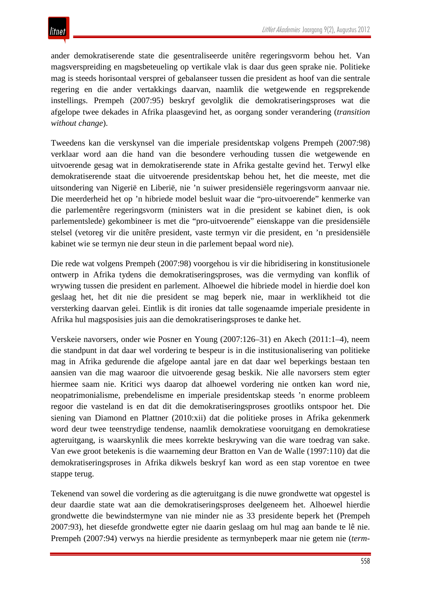ander demokratiserende state die gesentraliseerde unitêre regeringsvorm behou het. Van magsverspreiding en magsbeteueling op vertikale vlak is daar dus geen sprake nie. Politieke mag is steeds horisontaal versprei of gebalanseer tussen die president as hoof van die sentrale regering en die ander vertakkings daarvan, naamlik die wetgewende en regsprekende instellings. Prempeh (2007:95) beskryf gevolglik die demokratiseringsproses wat die afgelope twee dekades in Afrika plaasgevind het, as oorgang sonder verandering (*transition without change*).

Tweedens kan die verskynsel van die imperiale presidentskap volgens Prempeh (2007:98) verklaar word aan die hand van die besondere verhouding tussen die wetgewende en uitvoerende gesag wat in demokratiserende state in Afrika gestalte gevind het. Terwyl elke demokratiserende staat die uitvoerende presidentskap behou het, het die meeste, met die uitsondering van Nigerië en Liberië, nie 'n suiwer presidensiële regeringsvorm aanvaar nie. Die meerderheid het op 'n hibriede model besluit waar die "pro-uitvoerende" kenmerke van die parlementêre regeringsvorm (ministers wat in die president se kabinet dien, is ook parlementslede) gekombineer is met die "pro-uitvoerende" eienskappe van die presidensiële stelsel (vetoreg vir die unitêre president, vaste termyn vir die president, en 'n presidensiële kabinet wie se termyn nie deur steun in die parlement bepaal word nie).

Die rede wat volgens Prempeh (2007:98) voorgehou is vir die hibridisering in konstitusionele ontwerp in Afrika tydens die demokratiseringsproses, was die vermyding van konflik of wrywing tussen die president en parlement. Alhoewel die hibriede model in hierdie doel kon geslaag het, het dit nie die president se mag beperk nie, maar in werklikheid tot die versterking daarvan gelei. Eintlik is dit ironies dat talle sogenaamde imperiale presidente in Afrika hul magsposisies juis aan die demokratiseringsproses te danke het.

Verskeie navorsers, onder wie Posner en Young (2007:126–31) en Akech (2011:1–4), neem die standpunt in dat daar wel vordering te bespeur is in die institusionalisering van politieke mag in Afrika gedurende die afgelope aantal jare en dat daar wel beperkings bestaan ten aansien van die mag waaroor die uitvoerende gesag beskik. Nie alle navorsers stem egter hiermee saam nie. Kritici wys daarop dat alhoewel vordering nie ontken kan word nie, neopatrimonialisme, prebendelisme en imperiale presidentskap steeds 'n enorme probleem regoor die vasteland is en dat dit die demokratiseringsproses grootliks ontspoor het. Die siening van Diamond en Plattner (2010:xii) dat die politieke proses in Afrika gekenmerk word deur twee teenstrydige tendense, naamlik demokratiese vooruitgang en demokratiese agteruitgang, is waarskynlik die mees korrekte beskrywing van die ware toedrag van sake. Van ewe groot betekenis is die waarneming deur Bratton en Van de Walle (1997:110) dat die demokratiseringsproses in Afrika dikwels beskryf kan word as een stap vorentoe en twee stappe terug.

Tekenend van sowel die vordering as die agteruitgang is die nuwe grondwette wat opgestel is deur daardie state wat aan die demokratiseringsproses deelgeneem het. Alhoewel hierdie grondwette die bewindstermyne van nie minder nie as 33 presidente beperk het (Prempeh 2007:93), het diesefde grondwette egter nie daarin geslaag om hul mag aan bande te lê nie. Prempeh (2007:94) verwys na hierdie presidente as termynbeperk maar nie getem nie (*term-*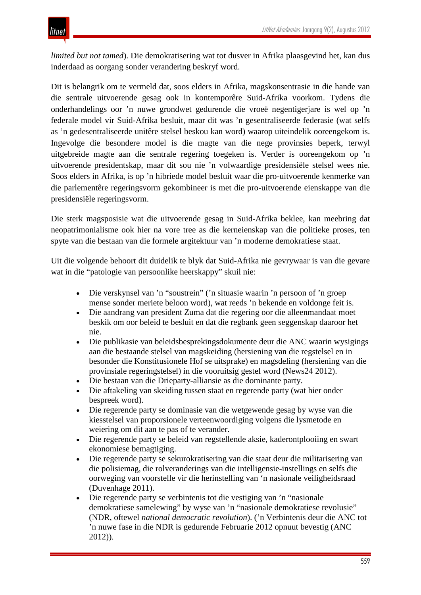*limited but not tamed*). Die demokratisering wat tot dusver in Afrika plaasgevind het, kan dus inderdaad as oorgang sonder verandering beskryf word.

Dit is belangrik om te vermeld dat, soos elders in Afrika, magskonsentrasie in die hande van die sentrale uitvoerende gesag ook in kontemporêre Suid-Afrika voorkom. Tydens die onderhandelings oor 'n nuwe grondwet gedurende die vroeë negentigerjare is wel op 'n federale model vir Suid-Afrika besluit, maar dit was 'n gesentraliseerde federasie (wat selfs as 'n gedesentraliseerde unitêre stelsel beskou kan word) waarop uiteindelik ooreengekom is. Ingevolge die besondere model is die magte van die nege provinsies beperk, terwyl uitgebreide magte aan die sentrale regering toegeken is. Verder is ooreengekom op 'n uitvoerende presidentskap, maar dit sou nie 'n volwaardige presidensiële stelsel wees nie. Soos elders in Afrika, is op 'n hibriede model besluit waar die pro-uitvoerende kenmerke van die parlementêre regeringsvorm gekombineer is met die pro-uitvoerende eienskappe van die presidensiële regeringsvorm.

Die sterk magsposisie wat die uitvoerende gesag in Suid-Afrika beklee, kan meebring dat neopatrimonialisme ook hier na vore tree as die kerneienskap van die politieke proses, ten spyte van die bestaan van die formele argitektuur van 'n moderne demokratiese staat.

Uit die volgende behoort dit duidelik te blyk dat Suid-Afrika nie gevrywaar is van die gevare wat in die "patologie van persoonlike heerskappy" skuil nie:

- Die verskynsel van 'n "soustrein" ('n situasie waarin 'n persoon of 'n groep mense sonder meriete beloon word), wat reeds 'n bekende en voldonge feit is.
- Die aandrang van president Zuma dat die regering oor die alleenmandaat moet beskik om oor beleid te besluit en dat die regbank geen seggenskap daaroor het nie.
- Die publikasie van beleidsbesprekingsdokumente deur die ANC waarin wysigings aan die bestaande stelsel van magskeiding (hersiening van die regstelsel en in besonder die Konstitusionele Hof se uitsprake) en magsdeling (hersiening van die provinsiale regeringstelsel) in die vooruitsig gestel word (News24 2012).
- Die bestaan van die Drieparty-alliansie as die dominante party.
- Die aftakeling van skeiding tussen staat en regerende party (wat hier onder bespreek word).
- Die regerende party se dominasie van die wetgewende gesag by wyse van die kiesstelsel van proporsionele verteenwoordiging volgens die lysmetode en weiering om dit aan te pas of te verander.
- Die regerende party se beleid van regstellende aksie, kaderontplooiing en swart ekonomiese bemagtiging.
- Die regerende party se sekurokratisering van die staat deur die militarisering van die polisiemag, die rolveranderings van die intelligensie-instellings en selfs die oorweging van voorstelle vir die herinstelling van 'n nasionale veiligheidsraad (Duvenhage 2011).
- Die regerende party se verbintenis tot die vestiging van 'n "nasionale demokratiese samelewing" by wyse van 'n "nasionale demokratiese revolusie" (NDR, oftewel *national democratic revolution*). ('n Verbintenis deur die ANC tot 'n nuwe fase in die NDR is gedurende Februarie 2012 opnuut bevestig (ANC 2012)).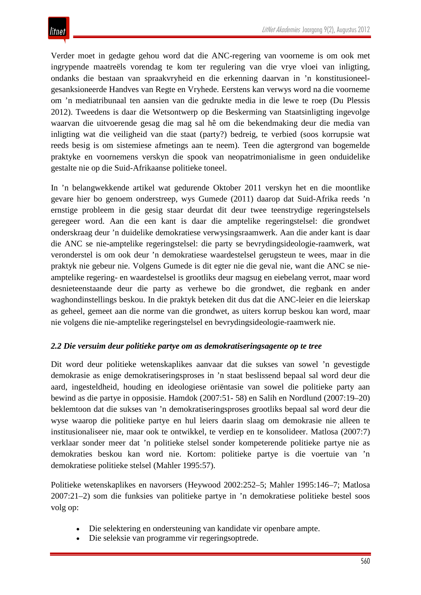Verder moet in gedagte gehou word dat die ANC-regering van voorneme is om ook met ingrypende maatreëls vorendag te kom ter regulering van die vrye vloei van inligting, ondanks die bestaan van spraakvryheid en die erkenning daarvan in 'n konstitusioneelgesanksioneerde Handves van Regte en Vryhede. Eerstens kan verwys word na die voorneme om 'n mediatribunaal ten aansien van die gedrukte media in die lewe te roep (Du Plessis 2012). Tweedens is daar die Wetsontwerp op die Beskerming van Staatsinligting ingevolge waarvan die uitvoerende gesag die mag sal hê om die bekendmaking deur die media van inligting wat die veiligheid van die staat (party?) bedreig, te verbied (soos korrupsie wat reeds besig is om sistemiese afmetings aan te neem). Teen die agtergrond van bogemelde praktyke en voornemens verskyn die spook van neopatrimonialisme in geen onduidelike gestalte nie op die Suid-Afrikaanse politieke toneel.

In 'n belangwekkende artikel wat gedurende Oktober 2011 verskyn het en die moontlike gevare hier bo genoem onderstreep, wys Gumede (2011) daarop dat Suid-Afrika reeds 'n ernstige probleem in die gesig staar deurdat dit deur twee teenstrydige regeringstelsels geregeer word. Aan die een kant is daar die amptelike regeringstelsel: die grondwet onderskraag deur 'n duidelike demokratiese verwysingsraamwerk. Aan die ander kant is daar die ANC se nie-amptelike regeringstelsel: die party se bevrydingsideologie-raamwerk, wat veronderstel is om ook deur 'n demokratiese waardestelsel gerugsteun te wees, maar in die praktyk nie gebeur nie. Volgens Gumede is dit egter nie die geval nie, want die ANC se nieamptelike regering- en waardestelsel is grootliks deur magsug en eiebelang verrot, maar word desnieteenstaande deur die party as verhewe bo die grondwet, die regbank en ander waghondinstellings beskou. In die praktyk beteken dit dus dat die ANC-leier en die leierskap as geheel, gemeet aan die norme van die grondwet, as uiters korrup beskou kan word, maar nie volgens die nie-amptelike regeringstelsel en bevrydingsideologie-raamwerk nie.

## *2.2 Die versuim deur politieke partye om as demokratiseringsagente op te tree*

Dit word deur politieke wetenskaplikes aanvaar dat die sukses van sowel 'n gevestigde demokrasie as enige demokratiseringsproses in 'n staat beslissend bepaal sal word deur die aard, ingesteldheid, houding en ideologiese oriëntasie van sowel die politieke party aan bewind as die partye in opposisie. Hamdok (2007:51- 58) en Salih en Nordlund (2007:19–20) beklemtoon dat die sukses van 'n demokratiseringsproses grootliks bepaal sal word deur die wyse waarop die politieke partye en hul leiers daarin slaag om demokrasie nie alleen te institusionaliseer nie, maar ook te ontwikkel, te verdiep en te konsolideer. Matlosa (2007:7) verklaar sonder meer dat 'n politieke stelsel sonder kompeterende politieke partye nie as demokraties beskou kan word nie. Kortom: politieke partye is die voertuie van 'n demokratiese politieke stelsel (Mahler 1995:57).

Politieke wetenskaplikes en navorsers (Heywood 2002:252–5; Mahler 1995:146–7; Matlosa 2007:21–2) som die funksies van politieke partye in 'n demokratiese politieke bestel soos volg op:

- Die selektering en ondersteuning van kandidate vir openbare ampte.
- Die seleksie van programme vir regeringsoptrede.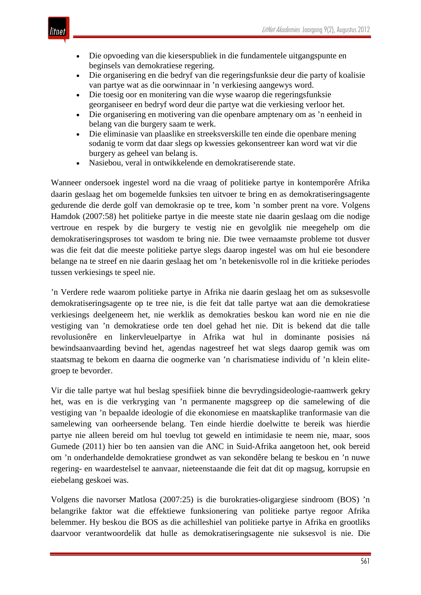- Die opvoeding van die kieserspubliek in die fundamentele uitgangspunte en beginsels van demokratiese regering.
- Die organisering en die bedryf van die regeringsfunksie deur die party of koalisie van partye wat as die oorwinnaar in 'n verkiesing aangewys word.
- Die toesig oor en monitering van die wyse waarop die regeringsfunksie georganiseer en bedryf word deur die partye wat die verkiesing verloor het.
- Die organisering en motivering van die openbare amptenary om as 'n eenheid in belang van die burgery saam te werk.
- Die eliminasie van plaaslike en streeksverskille ten einde die openbare mening sodanig te vorm dat daar slegs op kwessies gekonsentreer kan word wat vir die burgery as geheel van belang is.
- Nasiebou, veral in ontwikkelende en demokratiserende state.

Wanneer ondersoek ingestel word na die vraag of politieke partye in kontemporêre Afrika daarin geslaag het om bogemelde funksies ten uitvoer te bring en as demokratiseringsagente gedurende die derde golf van demokrasie op te tree, kom 'n somber prent na vore. Volgens Hamdok (2007:58) het politieke partye in die meeste state nie daarin geslaag om die nodige vertroue en respek by die burgery te vestig nie en gevolglik nie meegehelp om die demokratiseringsproses tot wasdom te bring nie. Die twee vernaamste probleme tot dusver was die feit dat die meeste politieke partye slegs daarop ingestel was om hul eie besondere belange na te streef en nie daarin geslaag het om 'n betekenisvolle rol in die kritieke periodes tussen verkiesings te speel nie.

'n Verdere rede waarom politieke partye in Afrika nie daarin geslaag het om as suksesvolle demokratiseringsagente op te tree nie, is die feit dat talle partye wat aan die demokratiese verkiesings deelgeneem het, nie werklik as demokraties beskou kan word nie en nie die vestiging van 'n demokratiese orde ten doel gehad het nie. Dit is bekend dat die talle revolusionêre en linkervleuelpartye in Afrika wat hul in dominante posisies ná bewindsaanvaarding bevind het, agendas nagestreef het wat slegs daarop gemik was om staatsmag te bekom en daarna die oogmerke van 'n charismatiese individu of 'n klein elitegroep te bevorder.

Vir die talle partye wat hul beslag spesifiiek binne die bevrydingsideologie-raamwerk gekry het, was en is die verkryging van 'n permanente magsgreep op die samelewing of die vestiging van 'n bepaalde ideologie of die ekonomiese en maatskaplike tranformasie van die samelewing van oorheersende belang. Ten einde hierdie doelwitte te bereik was hierdie partye nie alleen bereid om hul toevlug tot geweld en intimidasie te neem nie, maar, soos Gumede (2011) hier bo ten aansien van die ANC in Suid-Afrika aangetoon het, ook bereid om 'n onderhandelde demokratiese grondwet as van sekondêre belang te beskou en 'n nuwe regering- en waardestelsel te aanvaar, nieteenstaande die feit dat dit op magsug, korrupsie en eiebelang geskoei was.

Volgens die navorser Matlosa (2007:25) is die burokraties-oligargiese sindroom (BOS) 'n belangrike faktor wat die effektiewe funksionering van politieke partye regoor Afrika belemmer. Hy beskou die BOS as die achilleshiel van politieke partye in Afrika en grootliks daarvoor verantwoordelik dat hulle as demokratiseringsagente nie suksesvol is nie. Die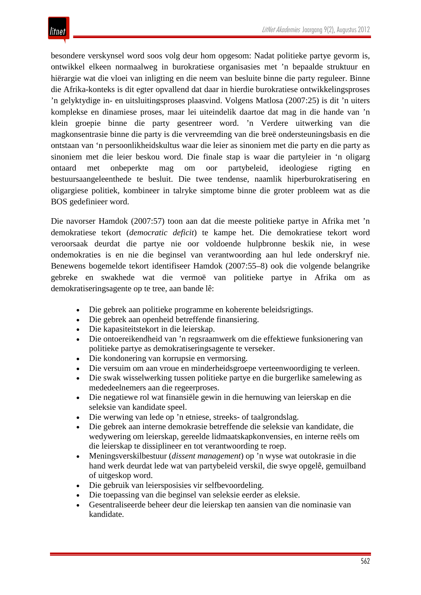besondere verskynsel word soos volg deur hom opgesom: Nadat politieke partye gevorm is, ontwikkel elkeen normaalweg in burokratiese organisasies met 'n bepaalde struktuur en hiërargie wat die vloei van inligting en die neem van besluite binne die party reguleer. Binne die Afrika-konteks is dit egter opvallend dat daar in hierdie burokratiese ontwikkelingsproses 'n gelyktydige in- en uitsluitingsproses plaasvind. Volgens Matlosa (2007:25) is dit 'n uiters komplekse en dinamiese proses, maar lei uiteindelik daartoe dat mag in die hande van 'n klein groepie binne die party gesentreer word. 'n Verdere uitwerking van die magkonsentrasie binne die party is die vervreemding van die breë ondersteuningsbasis en die ontstaan van 'n persoonlikheidskultus waar die leier as sinoniem met die party en die party as sinoniem met die leier beskou word. Die finale stap is waar die partyleier in 'n oligarg ontaard met onbeperkte mag om oor partybeleid, ideologiese rigting en bestuursaangeleenthede te besluit. Die twee tendense, naamlik hiperburokratisering en oligargiese politiek, kombineer in talryke simptome binne die groter probleem wat as die BOS gedefinieer word.

Die navorser Hamdok (2007:57) toon aan dat die meeste politieke partye in Afrika met 'n demokratiese tekort (*democratic deficit*) te kampe het. Die demokratiese tekort word veroorsaak deurdat die partye nie oor voldoende hulpbronne beskik nie, in wese ondemokraties is en nie die beginsel van verantwoording aan hul lede onderskryf nie. Benewens bogemelde tekort identifiseer Hamdok (2007:55–8) ook die volgende belangrike gebreke en swakhede wat die vermoë van politieke partye in Afrika om as demokratiseringsagente op te tree, aan bande lê:

- Die gebrek aan politieke programme en koherente beleidsrigtings.
- Die gebrek aan openheid betreffende finansiering.
- Die kapasiteitstekort in die leierskap.
- Die ontoereikendheid van 'n regsraamwerk om die effektiewe funksionering van politieke partye as demokratiseringsagente te verseker.
- Die kondonering van korrupsie en vermorsing.
- Die versuim om aan vroue en minderheidsgroepe verteenwoordiging te verleen.
- Die swak wisselwerking tussen politieke partye en die burgerlike samelewing as mededeelnemers aan die regeerproses.
- Die negatiewe rol wat finansiële gewin in die hernuwing van leierskap en die seleksie van kandidate speel.
- Die werwing van lede op 'n etniese, streeks- of taalgrondslag.
- Die gebrek aan interne demokrasie betreffende die seleksie van kandidate, die wedywering om leierskap, gereelde lidmaatskapkonvensies, en interne reëls om die leierskap te dissiplineer en tot verantwoording te roep.
- Meningsverskilbestuur (*dissent management*) op 'n wyse wat outokrasie in die hand werk deurdat lede wat van partybeleid verskil, die swye opgelê, gemuilband of uitgeskop word.
- Die gebruik van leiersposisies vir selfbevoordeling.
- Die toepassing van die beginsel van seleksie eerder as eleksie.
- Gesentraliseerde beheer deur die leierskap ten aansien van die nominasie van kandidate.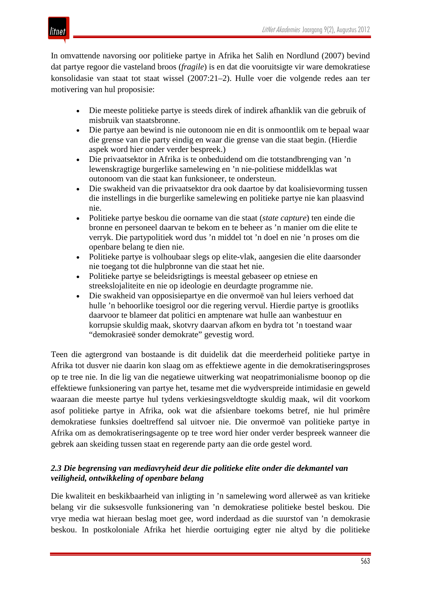itnet

In omvattende navorsing oor politieke partye in Afrika het Salih en Nordlund (2007) bevind dat partye regoor die vasteland broos (*fragile*) is en dat die vooruitsigte vir ware demokratiese konsolidasie van staat tot staat wissel (2007:21–2). Hulle voer die volgende redes aan ter motivering van hul proposisie:

- Die meeste politieke partye is steeds direk of indirek afhanklik van die gebruik of misbruik van staatsbronne.
- Die partye aan bewind is nie outonoom nie en dit is onmoontlik om te bepaal waar die grense van die party eindig en waar die grense van die staat begin. (Hierdie aspek word hier onder verder bespreek.)
- Die privaatsektor in Afrika is te onbeduidend om die totstandbrenging van 'n lewenskragtige burgerlike samelewing en 'n nie-politiese middelklas wat outonoom van die staat kan funksioneer, te ondersteun.
- Die swakheid van die privaatsektor dra ook daartoe by dat koalisievorming tussen die instellings in die burgerlike samelewing en politieke partye nie kan plaasvind nie.
- Politieke partye beskou die oorname van die staat (*state capture*) ten einde die bronne en personeel daarvan te bekom en te beheer as 'n manier om die elite te verryk. Die partypolitiek word dus 'n middel tot 'n doel en nie 'n proses om die openbare belang te dien nie.
- Politieke partye is volhoubaar slegs op elite-vlak, aangesien die elite daarsonder nie toegang tot die hulpbronne van die staat het nie.
- Politieke partye se beleidsrigtings is meestal gebaseer op etniese en streekslojaliteite en nie op ideologie en deurdagte programme nie.
- Die swakheid van opposisiepartye en die onvermoë van hul leiers verhoed dat hulle 'n behoorlike toesigrol oor die regering vervul. Hierdie partye is grootliks daarvoor te blameer dat politici en amptenare wat hulle aan wanbestuur en korrupsie skuldig maak, skotvry daarvan afkom en bydra tot 'n toestand waar "demokrasieë sonder demokrate" gevestig word.

Teen die agtergrond van bostaande is dit duidelik dat die meerderheid politieke partye in Afrika tot dusver nie daarin kon slaag om as effektiewe agente in die demokratiseringsproses op te tree nie. In die lig van die negatiewe uitwerking wat neopatrimonialisme boonop op die effektiewe funksionering van partye het, tesame met die wydverspreide intimidasie en geweld waaraan die meeste partye hul tydens verkiesingsveldtogte skuldig maak, wil dit voorkom asof politieke partye in Afrika, ook wat die afsienbare toekoms betref, nie hul primêre demokratiese funksies doeltreffend sal uitvoer nie. Die onvermoë van politieke partye in Afrika om as demokratiseringsagente op te tree word hier onder verder bespreek wanneer die gebrek aan skeiding tussen staat en regerende party aan die orde gestel word.

## *2.3 Die begrensing van mediavryheid deur die politieke elite onder die dekmantel van veiligheid, ontwikkeling of openbare belang*

Die kwaliteit en beskikbaarheid van inligting in 'n samelewing word allerweë as van kritieke belang vir die suksesvolle funksionering van 'n demokratiese politieke bestel beskou. Die vrye media wat hieraan beslag moet gee, word inderdaad as die suurstof van 'n demokrasie beskou. In postkoloniale Afrika het hierdie oortuiging egter nie altyd by die politieke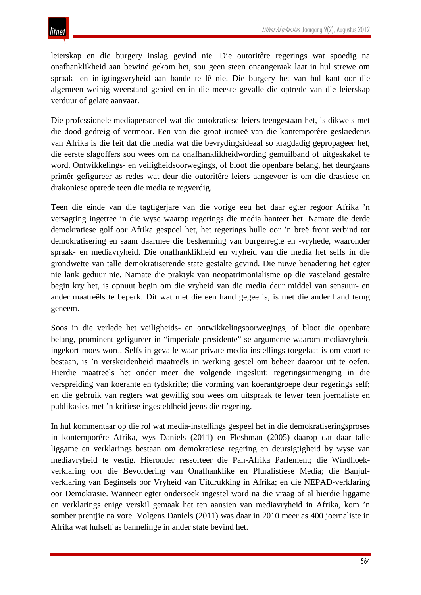leierskap en die burgery inslag gevind nie. Die outoritêre regerings wat spoedig na onafhanklikheid aan bewind gekom het, sou geen steen onaangeraak laat in hul strewe om spraak- en inligtingsvryheid aan bande te lê nie. Die burgery het van hul kant oor die algemeen weinig weerstand gebied en in die meeste gevalle die optrede van die leierskap verduur of gelate aanvaar.

Die professionele mediapersoneel wat die outokratiese leiers teengestaan het, is dikwels met die dood gedreig of vermoor. Een van die groot ironieë van die kontemporêre geskiedenis van Afrika is die feit dat die media wat die bevrydingsideaal so kragdadig gepropageer het, die eerste slagoffers sou wees om na onafhanklikheidwording gemuilband of uitgeskakel te word. Ontwikkelings- en veiligheidsoorwegings, of bloot die openbare belang, het deurgaans primêr gefigureer as redes wat deur die outoritêre leiers aangevoer is om die drastiese en drakoniese optrede teen die media te regverdig.

Teen die einde van die tagtigerjare van die vorige eeu het daar egter regoor Afrika 'n versagting ingetree in die wyse waarop regerings die media hanteer het. Namate die derde demokratiese golf oor Afrika gespoel het, het regerings hulle oor 'n breë front verbind tot demokratisering en saam daarmee die beskerming van burgerregte en -vryhede, waaronder spraak- en mediavryheid. Die onafhanklikheid en vryheid van die media het selfs in die grondwette van talle demokratiserende state gestalte gevind. Die nuwe benadering het egter nie lank geduur nie. Namate die praktyk van neopatrimonialisme op die vasteland gestalte begin kry het, is opnuut begin om die vryheid van die media deur middel van sensuur- en ander maatreëls te beperk. Dit wat met die een hand gegee is, is met die ander hand terug geneem.

Soos in die verlede het veiligheids- en ontwikkelingsoorwegings, of bloot die openbare belang, prominent gefigureer in "imperiale presidente" se argumente waarom mediavryheid ingekort moes word. Selfs in gevalle waar private media-instellings toegelaat is om voort te bestaan, is 'n verskeidenheid maatreëls in werking gestel om beheer daaroor uit te oefen. Hierdie maatreëls het onder meer die volgende ingesluit: regeringsinmenging in die verspreiding van koerante en tydskrifte; die vorming van koerantgroepe deur regerings self; en die gebruik van regters wat gewillig sou wees om uitspraak te lewer teen joernaliste en publikasies met 'n kritiese ingesteldheid jeens die regering.

In hul kommentaar op die rol wat media-instellings gespeel het in die demokratiseringsproses in kontemporêre Afrika, wys Daniels (2011) en Fleshman (2005) daarop dat daar talle liggame en verklarings bestaan om demokratiese regering en deursigtigheid by wyse van mediavryheid te vestig. Hieronder ressorteer die Pan-Afrika Parlement; die Windhoekverklaring oor die Bevordering van Onafhanklike en Pluralistiese Media; die Banjulverklaring van Beginsels oor Vryheid van Uitdrukking in Afrika; en die NEPAD-verklaring oor Demokrasie. Wanneer egter ondersoek ingestel word na die vraag of al hierdie liggame en verklarings enige verskil gemaak het ten aansien van mediavryheid in Afrika, kom 'n somber prentjie na vore. Volgens Daniels (2011) was daar in 2010 meer as 400 joernaliste in Afrika wat hulself as bannelinge in ander state bevind het.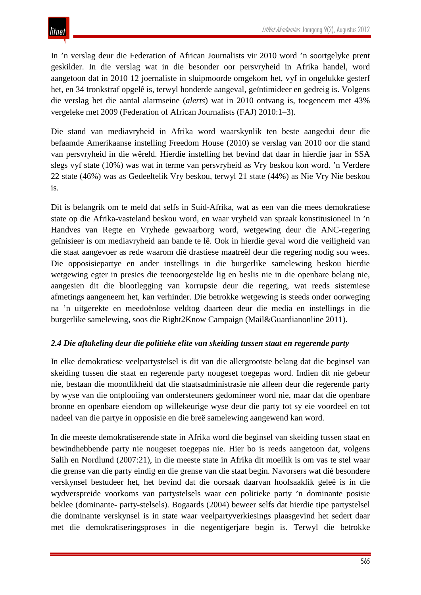In 'n verslag deur die Federation of African Journalists vir 2010 word 'n soortgelyke prent geskilder. In die verslag wat in die besonder oor persvryheid in Afrika handel, word aangetoon dat in 2010 12 joernaliste in sluipmoorde omgekom het, vyf in ongelukke gesterf het, en 34 tronkstraf opgelê is, terwyl honderde aangeval, geïntimideer en gedreig is. Volgens die verslag het die aantal alarmseine (*alerts*) wat in 2010 ontvang is, toegeneem met 43% vergeleke met 2009 (Federation of African Journalists (FAJ) 2010:1–3).

Die stand van mediavryheid in Afrika word waarskynlik ten beste aangedui deur die befaamde Amerikaanse instelling Freedom House (2010) se verslag van 2010 oor die stand van persvryheid in die wêreld. Hierdie instelling het bevind dat daar in hierdie jaar in SSA slegs vyf state (10%) was wat in terme van persvryheid as Vry beskou kon word. 'n Verdere 22 state (46%) was as Gedeeltelik Vry beskou, terwyl 21 state (44%) as Nie Vry Nie beskou is.

Dit is belangrik om te meld dat selfs in Suid-Afrika, wat as een van die mees demokratiese state op die Afrika-vasteland beskou word, en waar vryheid van spraak konstitusioneel in 'n Handves van Regte en Vryhede gewaarborg word, wetgewing deur die ANC-regering geïnisieer is om mediavryheid aan bande te lê. Ook in hierdie geval word die veiligheid van die staat aangevoer as rede waarom dié drastiese maatreël deur die regering nodig sou wees. Die opposisiepartye en ander instellings in die burgerlike samelewing beskou hierdie wetgewing egter in presies die teenoorgestelde lig en beslis nie in die openbare belang nie, aangesien dit die blootlegging van korrupsie deur die regering, wat reeds sistemiese afmetings aangeneem het, kan verhinder. Die betrokke wetgewing is steeds onder oorweging na 'n uitgerekte en meedoënlose veldtog daarteen deur die media en instellings in die burgerlike samelewing, soos die Right2Know Campaign (Mail&Guardianonline 2011).

## *2.4 Die aftakeling deur die politieke elite van skeiding tussen staat en regerende party*

In elke demokratiese veelpartystelsel is dit van die allergrootste belang dat die beginsel van skeiding tussen die staat en regerende party nougeset toegepas word. Indien dit nie gebeur nie, bestaan die moontlikheid dat die staatsadministrasie nie alleen deur die regerende party by wyse van die ontplooiing van ondersteuners gedomineer word nie, maar dat die openbare bronne en openbare eiendom op willekeurige wyse deur die party tot sy eie voordeel en tot nadeel van die partye in opposisie en die breë samelewing aangewend kan word.

In die meeste demokratiserende state in Afrika word die beginsel van skeiding tussen staat en bewindhebbende party nie nougeset toegepas nie. Hier bo is reeds aangetoon dat, volgens Salih en Nordlund (2007:21), in die meeste state in Afrika dit moeilik is om vas te stel waar die grense van die party eindig en die grense van die staat begin. Navorsers wat dié besondere verskynsel bestudeer het, het bevind dat die oorsaak daarvan hoofsaaklik geleë is in die wydverspreide voorkoms van partystelsels waar een politieke party 'n dominante posisie beklee (dominante- party-stelsels). Bogaards (2004) beweer selfs dat hierdie tipe partystelsel die dominante verskynsel is in state waar veelpartyverkiesings plaasgevind het sedert daar met die demokratiseringsproses in die negentigerjare begin is. Terwyl die betrokke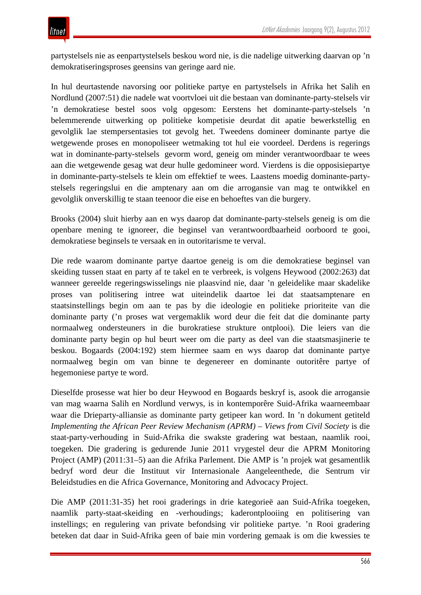litnet

partystelsels nie as eenpartystelsels beskou word nie, is die nadelige uitwerking daarvan op 'n demokratiseringsproses geensins van geringe aard nie.

In hul deurtastende navorsing oor politieke partye en partystelsels in Afrika het Salih en Nordlund (2007:51) die nadele wat voortvloei uit die bestaan van dominante-party-stelsels vir 'n demokratiese bestel soos volg opgesom: Eerstens het dominante-party-stelsels 'n belemmerende uitwerking op politieke kompetisie deurdat dit apatie bewerkstellig en gevolglik lae stempersentasies tot gevolg het. Tweedens domineer dominante partye die wetgewende proses en monopoliseer wetmaking tot hul eie voordeel. Derdens is regerings wat in dominante-party-stelsels gevorm word, geneig om minder verantwoordbaar te wees aan die wetgewende gesag wat deur hulle gedomineer word. Vierdens is die opposisiepartye in dominante-party-stelsels te klein om effektief te wees. Laastens moedig dominante-partystelsels regeringslui en die amptenary aan om die arrogansie van mag te ontwikkel en gevolglik onverskillig te staan teenoor die eise en behoeftes van die burgery.

Brooks (2004) sluit hierby aan en wys daarop dat dominante-party-stelsels geneig is om die openbare mening te ignoreer, die beginsel van verantwoordbaarheid oorboord te gooi, demokratiese beginsels te versaak en in outoritarisme te verval.

Die rede waarom dominante partye daartoe geneig is om die demokratiese beginsel van skeiding tussen staat en party af te takel en te verbreek, is volgens Heywood (2002:263) dat wanneer gereelde regeringswisselings nie plaasvind nie, daar 'n geleidelike maar skadelike proses van politisering intree wat uiteindelik daartoe lei dat staatsamptenare en staatsinstellings begin om aan te pas by die ideologie en politieke prioriteite van die dominante party ('n proses wat vergemaklik word deur die feit dat die dominante party normaalweg ondersteuners in die burokratiese strukture ontplooi). Die leiers van die dominante party begin op hul beurt weer om die party as deel van die staatsmasjinerie te beskou. Bogaards (2004:192) stem hiermee saam en wys daarop dat dominante partye normaalweg begin om van binne te degenereer en dominante outoritêre partye of hegemoniese partye te word.

Dieselfde prosesse wat hier bo deur Heywood en Bogaards beskryf is, asook die arrogansie van mag waarna Salih en Nordlund verwys, is in kontemporêre Suid-Afrika waarneembaar waar die Drieparty-alliansie as dominante party getipeer kan word. In 'n dokument getiteld *Implementing the African Peer Review Mechanism (APRM) – Views from Civil Society* is die staat-party-verhouding in Suid-Afrika die swakste gradering wat bestaan, naamlik rooi, toegeken. Die gradering is gedurende Junie 2011 vrygestel deur die APRM Monitoring Project (AMP) (2011:31–5) aan die Afrika Parlement. Die AMP is 'n projek wat gesamentlik bedryf word deur die Instituut vir Internasionale Aangeleenthede, die Sentrum vir Beleidstudies en die Africa Governance, Monitoring and Advocacy Project.

Die AMP (2011:31-35) het rooi graderings in drie kategorieë aan Suid-Afrika toegeken, naamlik party-staat-skeiding en -verhoudings; kaderontplooiing en politisering van instellings; en regulering van private befondsing vir politieke partye. 'n Rooi gradering beteken dat daar in Suid-Afrika geen of baie min vordering gemaak is om die kwessies te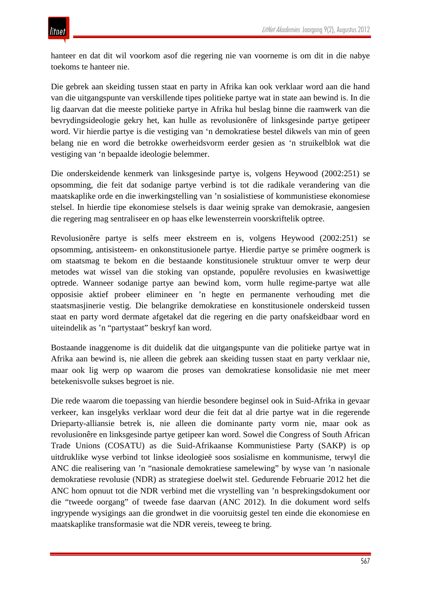hanteer en dat dit wil voorkom asof die regering nie van voorneme is om dit in die nabye toekoms te hanteer nie.

Die gebrek aan skeiding tussen staat en party in Afrika kan ook verklaar word aan die hand van die uitgangspunte van verskillende tipes politieke partye wat in state aan bewind is. In die lig daarvan dat die meeste politieke partye in Afrika hul beslag binne die raamwerk van die bevrydingsideologie gekry het, kan hulle as revolusionêre of linksgesinde partye getipeer word. Vir hierdie partye is die vestiging van 'n demokratiese bestel dikwels van min of geen belang nie en word die betrokke owerheidsvorm eerder gesien as 'n struikelblok wat die vestiging van 'n bepaalde ideologie belemmer.

Die onderskeidende kenmerk van linksgesinde partye is, volgens Heywood (2002:251) se opsomming, die feit dat sodanige partye verbind is tot die radikale verandering van die maatskaplike orde en die inwerkingstelling van 'n sosialistiese of kommunistiese ekonomiese stelsel. In hierdie tipe ekonomiese stelsels is daar weinig sprake van demokrasie, aangesien die regering mag sentraliseer en op haas elke lewensterrein voorskriftelik optree.

Revolusionêre partye is selfs meer ekstreem en is, volgens Heywood (2002:251) se opsomming, antisisteem- en onkonstitusionele partye. Hierdie partye se primêre oogmerk is om staatsmag te bekom en die bestaande konstitusionele struktuur omver te werp deur metodes wat wissel van die stoking van opstande, populêre revolusies en kwasiwettige optrede. Wanneer sodanige partye aan bewind kom, vorm hulle regime-partye wat alle opposisie aktief probeer elimineer en 'n hegte en permanente verhouding met die staatsmasjinerie vestig. Die belangrike demokratiese en konstitusionele onderskeid tussen staat en party word dermate afgetakel dat die regering en die party onafskeidbaar word en uiteindelik as 'n "partystaat" beskryf kan word.

Bostaande inaggenome is dit duidelik dat die uitgangspunte van die politieke partye wat in Afrika aan bewind is, nie alleen die gebrek aan skeiding tussen staat en party verklaar nie, maar ook lig werp op waarom die proses van demokratiese konsolidasie nie met meer betekenisvolle sukses begroet is nie.

Die rede waarom die toepassing van hierdie besondere beginsel ook in Suid-Afrika in gevaar verkeer, kan insgelyks verklaar word deur die feit dat al drie partye wat in die regerende Drieparty-alliansie betrek is, nie alleen die dominante party vorm nie, maar ook as revolusionêre en linksgesinde partye getipeer kan word. Sowel die Congress of South African Trade Unions (COSATU) as die Suid-Afrikaanse Kommunistiese Party (SAKP) is op uitdruklike wyse verbind tot linkse ideologieë soos sosialisme en kommunisme, terwyl die ANC die realisering van 'n "nasionale demokratiese samelewing" by wyse van 'n nasionale demokratiese revolusie (NDR) as strategiese doelwit stel. Gedurende Februarie 2012 het die ANC hom opnuut tot die NDR verbind met die vrystelling van 'n besprekingsdokument oor die "tweede oorgang" of tweede fase daarvan (ANC 2012). In die dokument word selfs ingrypende wysigings aan die grondwet in die vooruitsig gestel ten einde die ekonomiese en maatskaplike transformasie wat die NDR vereis, teweeg te bring.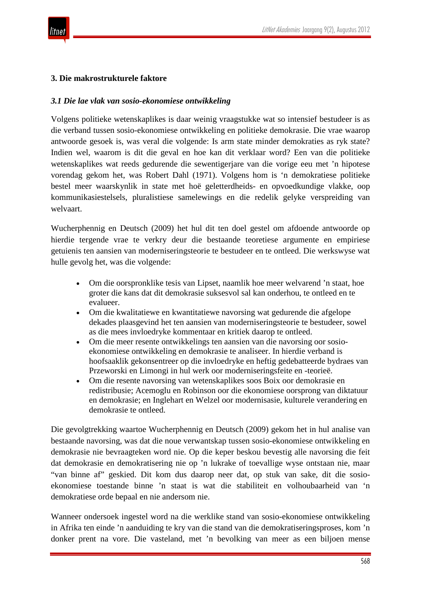

## **3. Die makrostrukturele faktore**

#### *3.1 Die lae vlak van sosio-ekonomiese ontwikkeling*

Volgens politieke wetenskaplikes is daar weinig vraagstukke wat so intensief bestudeer is as die verband tussen sosio-ekonomiese ontwikkeling en politieke demokrasie. Die vrae waarop antwoorde gesoek is, was veral die volgende: Is arm state minder demokraties as ryk state? Indien wel, waarom is dit die geval en hoe kan dit verklaar word? Een van die politieke wetenskaplikes wat reeds gedurende die sewentigerjare van die vorige eeu met 'n hipotese vorendag gekom het, was Robert Dahl (1971). Volgens hom is 'n demokratiese politieke bestel meer waarskynlik in state met hoë geletterdheids- en opvoedkundige vlakke, oop kommunikasiestelsels, pluralistiese samelewings en die redelik gelyke verspreiding van welvaart.

Wucherphennig en Deutsch (2009) het hul dit ten doel gestel om afdoende antwoorde op hierdie tergende vrae te verkry deur die bestaande teoretiese argumente en empiriese getuienis ten aansien van moderniseringsteorie te bestudeer en te ontleed. Die werkswyse wat hulle gevolg het, was die volgende:

- Om die oorspronklike tesis van Lipset, naamlik hoe meer welvarend 'n staat, hoe groter die kans dat dit demokrasie suksesvol sal kan onderhou, te ontleed en te evalueer.
- Om die kwalitatiewe en kwantitatiewe navorsing wat gedurende die afgelope dekades plaasgevind het ten aansien van moderniseringsteorie te bestudeer, sowel as die mees invloedryke kommentaar en kritiek daarop te ontleed.
- Om die meer resente ontwikkelings ten aansien van die navorsing oor sosioekonomiese ontwikkeling en demokrasie te analiseer. In hierdie verband is hoofsaaklik gekonsentreer op die invloedryke en heftig gedebatteerde bydraes van Przeworski en Limongi in hul werk oor moderniseringsfeite en -teorieë.
- Om die resente navorsing van wetenskaplikes soos Boix oor demokrasie en redistribusie; Acemoglu en Robinson oor die ekonomiese oorsprong van diktatuur en demokrasie; en Inglehart en Welzel oor modernisasie, kulturele verandering en demokrasie te ontleed.

Die gevolgtrekking waartoe Wucherphennig en Deutsch (2009) gekom het in hul analise van bestaande navorsing, was dat die noue verwantskap tussen sosio-ekonomiese ontwikkeling en demokrasie nie bevraagteken word nie. Op die keper beskou bevestig alle navorsing die feit dat demokrasie en demokratisering nie op 'n lukrake of toevallige wyse ontstaan nie, maar "van binne af" geskied. Dit kom dus daarop neer dat, op stuk van sake, dit die sosioekonomiese toestande binne 'n staat is wat die stabiliteit en volhoubaarheid van 'n demokratiese orde bepaal en nie andersom nie.

Wanneer ondersoek ingestel word na die werklike stand van sosio-ekonomiese ontwikkeling in Afrika ten einde 'n aanduiding te kry van die stand van die demokratiseringsproses, kom 'n donker prent na vore. Die vasteland, met 'n bevolking van meer as een biljoen mense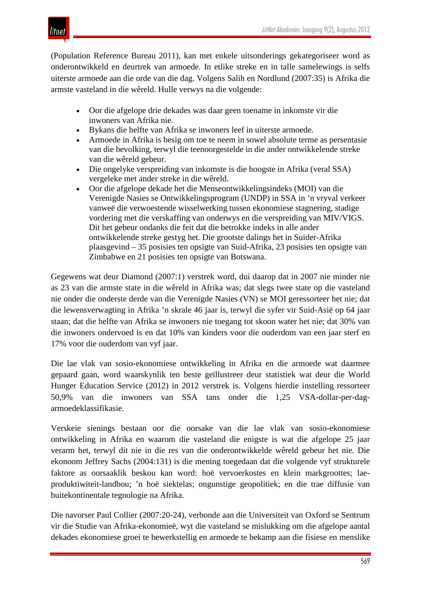

(Population Reference Bureau 2011), kan met enkele uitsonderings gekategoriseer word as onderontwikkeld en deurtrek van armoede. In etlike streke en in talle samelewings is selfs uiterste armoede aan die orde van die dag. Volgens Salih en Nordlund (2007:35) is Afrika die armste vasteland in die wêreld. Hulle verwys na die volgende:

- Oor die afgelope drie dekades was daar geen toename in inkomste vir die inwoners van Afrika nie.
- Bykans die helfte van Afrika se inwoners leef in uiterste armoede.
- Armoede in Afrika is besig om toe te neem in sowel absolute terme as persentasie van die bevolking, terwyl die teenoorgestelde in die ander ontwikkelende streke van die wêreld gebeur.
- Die ongelyke verspreiding van inkomste is die hoogste in Afrika (veral SSA) vergeleke met ander streke in die wêreld.
- Oor die afgelope dekade het die Menseontwikkelingsindeks (MOI) van die Verenigde Nasies se Ontwikkelingsprogram (UNDP) in SSA in 'n vryval verkeer vanweë die verwoestende wisselwerking tussen ekonomiese stagnering, stadige vordering met die verskaffing van onderwys en die verspreiding van MIV/VIGS. Dit het gebeur ondanks die feit dat die betrokke indeks in alle ander ontwikkelende streke gestyg het. Die grootste dalings het in Suider-Afrika plaasgevind – 35 posisies ten opsigte van Suid-Afrika, 23 posisies ten opsigte van Zimbabwe en 21 posisies ten opsigte van Botswana.

Gegewens wat deur Diamond (2007:1) verstrek word, dui daarop dat in 2007 nie minder nie as 23 van die armste state in die wêreld in Afrika was; dat slegs twee state op die vasteland nie onder die onderste derde van die Verenigde Nasies (VN) se MOI geressorteer het nie; dat die lewensverwagting in Afrika 'n skrale 46 jaar is, terwyl die syfer vir Suid-Asië op 64 jaar staan; dat die helfte van Afrika se inwoners nie toegang tot skoon water het nie; dat 30% van die inwoners ondervoed is en dat 10% van kinders voor die ouderdom van een jaar sterf en 17% voor die ouderdom van vyf jaar.

Die lae vlak van sosio-ekonomiese ontwikkeling in Afrika en die armoede wat daarmee gepaard gaan, word waarskynlik ten beste geïllustreer deur statistiek wat deur die World Hunger Education Service (2012) in 2012 verstrek is. Volgens hierdie instelling ressorteer 50,9% van die inwoners van SSA tans onder die 1,25 VSA-dollar-per-dagarmoedeklassifikasie.

Verskeie sienings bestaan oor die oorsake van die lae vlak van sosio-ekonomiese ontwikkeling in Afrika en waarom die vasteland die enigste is wat die afgelope 25 jaar verarm het, terwyl dit nie in die res van die onderontwikkelde wêreld gebeur het nie. Die ekonoom Jeffrey Sachs (2004:131) is die mening toegedaan dat die volgende vyf strukturele faktore as oorsaaklik beskou kan word: hoë vervoerkostes en klein markgroottes; laeproduktiwiteit-landbou; 'n hoë siektelas; ongunstige geopolitiek; en die trae diffusie van buitekontinentale tegnologie na Afrika.

Die navorser Paul Collier (2007:20-24), verbonde aan die Universiteit van Oxford se Sentrum vir die Studie van Afrika-ekonomieë, wyt die vasteland se mislukking om die afgelope aantal dekades ekonomiese groei te bewerkstellig en armoede te bekamp aan die fisiese en menslike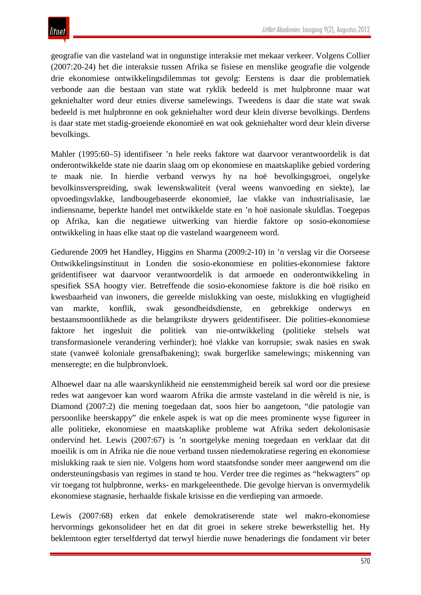geografie van die vasteland wat in ongunstige interaksie met mekaar verkeer. Volgens Collier (2007:20-24) het die interaksie tussen Afrika se fisiese en menslike geografie die volgende drie ekonomiese ontwikkelingsdilemmas tot gevolg: Eerstens is daar die problematiek verbonde aan die bestaan van state wat ryklik bedeeld is met hulpbronne maar wat gekniehalter word deur etnies diverse samelewings. Tweedens is daar die state wat swak bedeeld is met hulpbronne en ook gekniehalter word deur klein diverse bevolkings. Derdens is daar state met stadig-groeiende ekonomieë en wat ook gekniehalter word deur klein diverse bevolkings.

Mahler (1995:60–5) identifiseer 'n hele reeks faktore wat daarvoor verantwoordelik is dat onderontwikkelde state nie daarin slaag om op ekonomiese en maatskaplike gebied vordering te maak nie. In hierdie verband verwys hy na hoë bevolkingsgroei, ongelyke bevolkinsverspreiding, swak lewenskwaliteit (veral weens wanvoeding en siekte), lae opvoedingsvlakke, landbougebaseerde ekonomieë, lae vlakke van industrialisasie, lae indiensname, beperkte handel met ontwikkelde state en 'n hoë nasionale skuldlas. Toegepas op Afrika, kan die negatiewe uitwerking van hierdie faktore op sosio-ekonomiese ontwikkeling in haas elke staat op die vasteland waargeneem word.

Gedurende 2009 het Handley, Higgins en Sharma (2009:2-10) in 'n verslag vir die Oorseese Ontwikkelingsinstituut in Londen die sosio-ekonomiese en polities-ekonomiese faktore geïdentifiseer wat daarvoor verantwoordelik is dat armoede en onderontwikkeling in spesifiek SSA hoogty vier. Betreffende die sosio-ekonomiese faktore is die hoë risiko en kwesbaarheid van inwoners, die gereelde mislukking van oeste, mislukking en vlugtigheid van markte, konflik, swak gesondheidsdienste, en gebrekkige onderwys en bestaansmoontlikhede as die belangrikste drywers geïdentifiseer. Die polities-ekonomiese faktore het ingesluit die politiek van nie-ontwikkeling (politieke stelsels wat transformasionele verandering verhinder); hoë vlakke van korrupsie; swak nasies en swak state (vanweë koloniale grensafbakening); swak burgerlike samelewings; miskenning van menseregte; en die hulpbronvloek.

Alhoewel daar na alle waarskynlikheid nie eenstemmigheid bereik sal word oor die presiese redes wat aangevoer kan word waarom Afrika die armste vasteland in die wêreld is nie, is Diamond (2007:2) die mening toegedaan dat, soos hier bo aangetoon, "die patologie van persoonlike heerskappy" die enkele aspek is wat op die mees prominente wyse figureer in alle politieke, ekonomiese en maatskaplike probleme wat Afrika sedert dekolonisasie ondervind het. Lewis (2007:67) is 'n soortgelyke mening toegedaan en verklaar dat dit moeilik is om in Afrika nie die noue verband tussen niedemokratiese regering en ekonomiese mislukking raak te sien nie. Volgens hom word staatsfondse sonder meer aangewend om die ondersteuningsbasis van regimes in stand te hou. Verder tree die regimes as "hekwagters" op vir toegang tot hulpbronne, werks- en markgeleenthede. Die gevolge hiervan is onvermydelik ekonomiese stagnasie, herhaalde fiskale krisisse en die verdieping van armoede.

Lewis (2007:68) erken dat enkele demokratiserende state wel makro-ekonomiese hervormings gekonsolideer het en dat dit groei in sekere streke bewerkstellig het. Hy beklemtoon egter terselfdertyd dat terwyl hierdie nuwe benaderings die fondament vir beter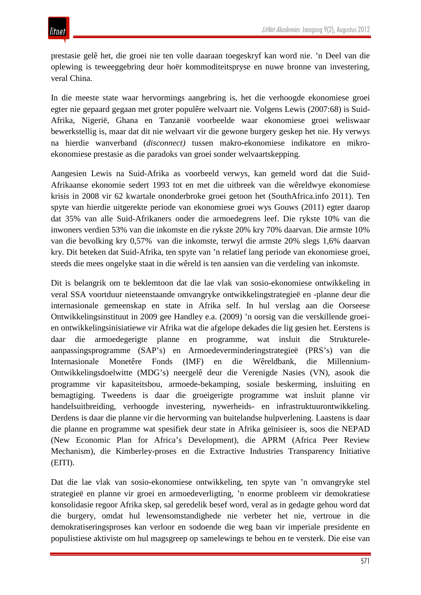prestasie gelê het, die groei nie ten volle daaraan toegeskryf kan word nie. 'n Deel van die oplewing is teweeggebring deur hoër kommoditeitspryse en nuwe bronne van investering, veral China.

In die meeste state waar hervormings aangebring is, het die verhoogde ekonomiese groei egter nie gepaard gegaan met groter populêre welvaart nie. Volgens Lewis (2007:68) is Suid-Afrika, Nigerië, Ghana en Tanzanië voorbeelde waar ekonomiese groei weliswaar bewerkstellig is, maar dat dit nie welvaart vir die gewone burgery geskep het nie. Hy verwys na hierdie wanverband (*disconnect)* tussen makro-ekonomiese indikatore en mikroekonomiese prestasie as die paradoks van groei sonder welvaartskepping.

Aangesien Lewis na Suid-Afrika as voorbeeld verwys, kan gemeld word dat die Suid-Afrikaanse ekonomie sedert 1993 tot en met die uitbreek van die wêreldwye ekonomiese krisis in 2008 vir 62 kwartale ononderbroke groei getoon het (SouthAfrica.info 2011). Ten spyte van hierdie uitgerekte periode van ekonomiese groei wys Gouws (2011) egter daarop dat 35% van alle Suid-Afrikaners onder die armoedegrens leef. Die rykste 10% van die inwoners verdien 53% van die inkomste en die rykste 20% kry 70% daarvan. Die armste 10% van die bevolking kry 0,57% van die inkomste, terwyl die armste 20% slegs 1,6% daarvan kry. Dit beteken dat Suid-Afrika, ten spyte van 'n relatief lang periode van ekonomiese groei, steeds die mees ongelyke staat in die wêreld is ten aansien van die verdeling van inkomste.

Dit is belangrik om te beklemtoon dat die lae vlak van sosio-ekonomiese ontwikkeling in veral SSA voortduur nieteenstaande omvangryke ontwikkelingstrategieë en -planne deur die internasionale gemeenskap en state in Afrika self. In hul verslag aan die Oorseese Ontwikkelingsinstituut in 2009 gee Handley e.a. (2009) 'n oorsig van die verskillende groeien ontwikkelingsinisiatiewe vir Afrika wat die afgelope dekades die lig gesien het. Eerstens is daar die armoedegerigte planne en programme, wat insluit die Struktureleaanpassingsprogramme (SAP's) en Armoedeverminderingstrategieë (PRS's) van die Internasionale Monetêre Fonds (IMF) en die Wêreldbank, die Millennium-Ontwikkelingsdoelwitte (MDG's) neergelê deur die Verenigde Nasies (VN), asook die programme vir kapasiteitsbou, armoede-bekamping, sosiale beskerming, insluiting en bemagtiging. Tweedens is daar die groeigerigte programme wat insluit planne vir handelsuitbreiding, verhoogde investering, nywerheids- en infrastruktuurontwikkeling. Derdens is daar die planne vir die hervorming van buitelandse hulpverlening. Laastens is daar die planne en programme wat spesifiek deur state in Afrika geïnisieer is, soos die NEPAD (New Economic Plan for Africa's Development), die APRM (Africa Peer Review Mechanism), die Kimberley-proses en die Extractive Industries Transparency Initiative (EITI).

Dat die lae vlak van sosio-ekonomiese ontwikkeling, ten spyte van 'n omvangryke stel strategieë en planne vir groei en armoedeverligting, 'n enorme probleem vir demokratiese konsolidasie regoor Afrika skep, sal geredelik besef word, veral as in gedagte gehou word dat die burgery, omdat hul lewensomstandighede nie verbeter het nie, vertroue in die demokratiseringsproses kan verloor en sodoende die weg baan vir imperiale presidente en populistiese aktiviste om hul magsgreep op samelewings te behou en te versterk. Die eise van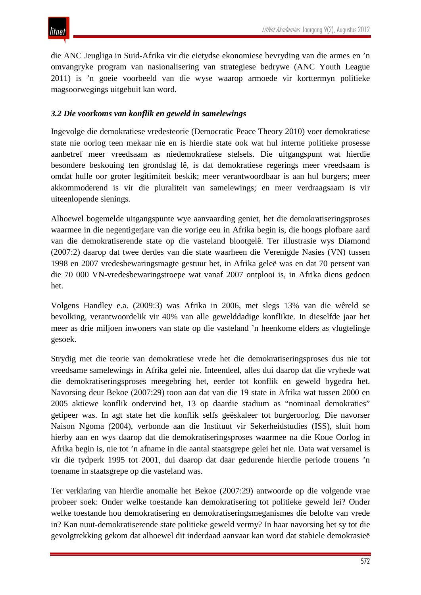die ANC Jeugliga in Suid-Afrika vir die eietydse ekonomiese bevryding van die armes en 'n omvangryke program van nasionalisering van strategiese bedrywe (ANC Youth League 2011) is 'n goeie voorbeeld van die wyse waarop armoede vir korttermyn politieke magsoorwegings uitgebuit kan word.

## *3.2 Die voorkoms van konflik en geweld in samelewings*

Ingevolge die demokratiese vredesteorie (Democratic Peace Theory 2010) voer demokratiese state nie oorlog teen mekaar nie en is hierdie state ook wat hul interne politieke prosesse aanbetref meer vreedsaam as niedemokratiese stelsels. Die uitgangspunt wat hierdie besondere beskouing ten grondslag lê, is dat demokratiese regerings meer vreedsaam is omdat hulle oor groter legitimiteit beskik; meer verantwoordbaar is aan hul burgers; meer akkommoderend is vir die pluraliteit van samelewings; en meer verdraagsaam is vir uiteenlopende sienings.

Alhoewel bogemelde uitgangspunte wye aanvaarding geniet, het die demokratiseringsproses waarmee in die negentigerjare van die vorige eeu in Afrika begin is, die hoogs plofbare aard van die demokratiserende state op die vasteland blootgelê. Ter illustrasie wys Diamond (2007:2) daarop dat twee derdes van die state waarheen die Verenigde Nasies (VN) tussen 1998 en 2007 vredesbewaringsmagte gestuur het, in Afrika geleë was en dat 70 persent van die 70 000 VN-vredesbewaringstroepe wat vanaf 2007 ontplooi is, in Afrika diens gedoen het.

Volgens Handley e.a. (2009:3) was Afrika in 2006, met slegs 13% van die wêreld se bevolking, verantwoordelik vir 40% van alle gewelddadige konflikte. In dieselfde jaar het meer as drie miljoen inwoners van state op die vasteland 'n heenkome elders as vlugtelinge gesoek.

Strydig met die teorie van demokratiese vrede het die demokratiseringsproses dus nie tot vreedsame samelewings in Afrika gelei nie. Inteendeel, alles dui daarop dat die vryhede wat die demokratiseringsproses meegebring het, eerder tot konflik en geweld bygedra het. Navorsing deur Bekoe (2007:29) toon aan dat van die 19 state in Afrika wat tussen 2000 en 2005 aktiewe konflik ondervind het, 13 op daardie stadium as "nominaal demokraties" getipeer was. In agt state het die konflik selfs geëskaleer tot burgeroorlog. Die navorser Naison Ngoma (2004), verbonde aan die Instituut vir Sekerheidstudies (ISS), sluit hom hierby aan en wys daarop dat die demokratiseringsproses waarmee na die Koue Oorlog in Afrika begin is, nie tot 'n afname in die aantal staatsgrepe gelei het nie. Data wat versamel is vir die tydperk 1995 tot 2001, dui daarop dat daar gedurende hierdie periode trouens 'n toename in staatsgrepe op die vasteland was.

Ter verklaring van hierdie anomalie het Bekoe (2007:29) antwoorde op die volgende vrae probeer soek: Onder welke toestande kan demokratisering tot politieke geweld lei? Onder welke toestande hou demokratisering en demokratiseringsmeganismes die belofte van vrede in? Kan nuut-demokratiserende state politieke geweld vermy? In haar navorsing het sy tot die gevolgtrekking gekom dat alhoewel dit inderdaad aanvaar kan word dat stabiele demokrasieë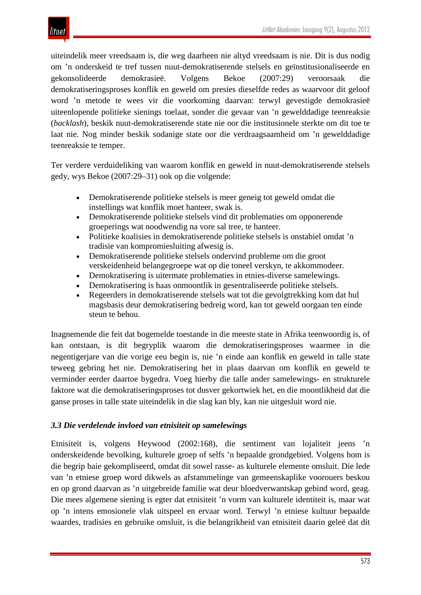

uiteindelik meer vreedsaam is, die weg daarheen nie altyd vreedsaam is nie. Dit is dus nodig om 'n onderskeid te tref tussen nuut-demokratiserende stelsels en geïnstitusionaliseerde en gekonsolideerde demokrasieë. Volgens Bekoe (2007:29) veroorsaak die demokratiseringsproses konflik en geweld om presies dieselfde redes as waarvoor dit geloof word 'n metode te wees vir die voorkoming daarvan: terwyl gevestigde demokrasieë uiteenlopende politieke sienings toelaat, sonder die gevaar van 'n gewelddadige teenreaksie (*backlash*), beskik nuut-demokratiserende state nie oor die institusionele sterkte om dit toe te laat nie. Nog minder beskik sodanige state oor die verdraagsaamheid om 'n gewelddadige teenreaksie te temper.

Ter verdere verduideliking van waarom konflik en geweld in nuut-demokratiserende stelsels gedy, wys Bekoe (2007:29–31) ook op die volgende:

- Demokratiserende politieke stelsels is meer geneig tot geweld omdat die instellings wat konflik moet hanteer, swak is.
- Demokratiserende politieke stelsels vind dit problematies om opponerende groeperings wat noodwendig na vore sal tree, te hanteer.
- Politieke koalisies in demokratiserende politieke stelsels is onstabiel omdat 'n tradisie van kompromiesluiting afwesig is.
- Demokratiserende politieke stelsels ondervind probleme om die groot verskeidenheid belangegroepe wat op die toneel verskyn, te akkommodeer.
- Demokratisering is uitermate problematies in etnies-diverse samelewings.
- Demokratisering is haas onmoontlik in gesentraliseerde politieke stelsels.
- Regeerders in demokratiserende stelsels wat tot die gevolgtrekking kom dat hul magsbasis deur demokratisering bedreig word, kan tot geweld oorgaan ten einde steun te behou.

Inagnemende die feit dat bogemelde toestande in die meeste state in Afrika teenwoordig is, of kan ontstaan, is dit begryplik waarom die demokratiseringsproses waarmee in die negentigerjare van die vorige eeu begin is, nie 'n einde aan konflik en geweld in talle state teweeg gebring het nie. Demokratisering het in plaas daarvan om konflik en geweld te verminder eerder daartoe bygedra. Voeg hierby die talle ander samelewings- en strukturele faktore wat die demokratiseringsproses tot dusver gekortwiek het, en die moontlikheid dat die ganse proses in talle state uiteindelik in die slag kan bly, kan nie uitgesluit word nie.

## *3.3 Die verdelende invloed van etnisiteit op samelewings*

Etnisiteit is, volgens Heywood (2002:168), die sentiment van lojaliteit jeens 'n onderskeidende bevolking, kulturele groep of selfs 'n bepaalde grondgebied. Volgens hom is die begrip baie gekompliseerd, omdat dit sowel rasse- as kulturele elemente omsluit. Die lede van 'n etniese groep word dikwels as afstammelinge van gemeenskaplike voorouers beskou en op grond daarvan as 'n uitgebreide familie wat deur bloedverwantskap gebind word, geag. Die mees algemene siening is egter dat etnisiteit 'n vorm van kulturele identiteit is, maar wat op 'n intens emosionele vlak uitspeel en ervaar word. Terwyl 'n etniese kultuur bepaalde waardes, tradisies en gebruike omsluit, is die belangrikheid van etnisiteit daarin geleë dat dit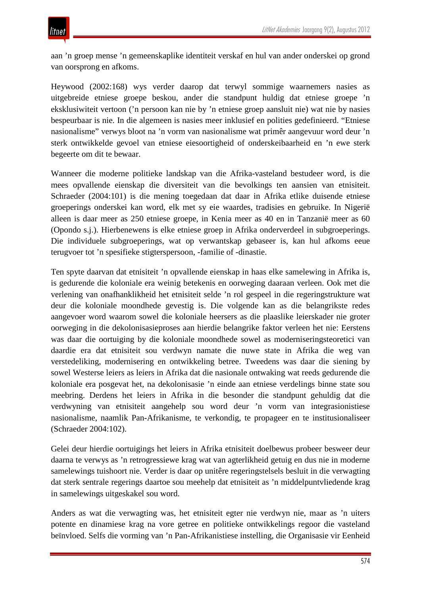aan 'n groep mense 'n gemeenskaplike identiteit verskaf en hul van ander onderskei op grond van oorsprong en afkoms.

Heywood (2002:168) wys verder daarop dat terwyl sommige waarnemers nasies as uitgebreide etniese groepe beskou, ander die standpunt huldig dat etniese groepe 'n eksklusiwiteit vertoon ('n persoon kan nie by 'n etniese groep aansluit nie) wat nie by nasies bespeurbaar is nie. In die algemeen is nasies meer inklusief en polities gedefinieerd. "Etniese nasionalisme" verwys bloot na 'n vorm van nasionalisme wat primêr aangevuur word deur 'n sterk ontwikkelde gevoel van etniese eiesoortigheid of onderskeibaarheid en 'n ewe sterk begeerte om dit te bewaar.

Wanneer die moderne politieke landskap van die Afrika-vasteland bestudeer word, is die mees opvallende eienskap die diversiteit van die bevolkings ten aansien van etnisiteit. Schraeder (2004:101) is die mening toegedaan dat daar in Afrika etlike duisende etniese groeperings onderskei kan word, elk met sy eie waardes, tradisies en gebruike. In Nigerië alleen is daar meer as 250 etniese groepe, in Kenia meer as 40 en in Tanzanië meer as 60 (Opondo s.j.). Hierbenewens is elke etniese groep in Afrika onderverdeel in subgroeperings. Die individuele subgroeperings, wat op verwantskap gebaseer is, kan hul afkoms eeue terugvoer tot 'n spesifieke stigterspersoon, -familie of -dinastie.

Ten spyte daarvan dat etnisiteit 'n opvallende eienskap in haas elke samelewing in Afrika is, is gedurende die koloniale era weinig betekenis en oorweging daaraan verleen. Ook met die verlening van onafhanklikheid het etnisiteit selde 'n rol gespeel in die regeringstrukture wat deur die koloniale moondhede gevestig is. Die volgende kan as die belangrikste redes aangevoer word waarom sowel die koloniale heersers as die plaaslike leierskader nie groter oorweging in die dekolonisasieproses aan hierdie belangrike faktor verleen het nie: Eerstens was daar die oortuiging by die koloniale moondhede sowel as moderniseringsteoretici van daardie era dat etnisiteit sou verdwyn namate die nuwe state in Afrika die weg van verstedeliking, modernisering en ontwikkeling betree. Tweedens was daar die siening by sowel Westerse leiers as leiers in Afrika dat die nasionale ontwaking wat reeds gedurende die koloniale era posgevat het, na dekolonisasie 'n einde aan etniese verdelings binne state sou meebring. Derdens het leiers in Afrika in die besonder die standpunt gehuldig dat die verdwyning van etnisiteit aangehelp sou word deur 'n vorm van integrasionistiese nasionalisme, naamlik Pan-Afrikanisme, te verkondig, te propageer en te institusionaliseer (Schraeder 2004:102).

Gelei deur hierdie oortuigings het leiers in Afrika etnisiteit doelbewus probeer besweer deur daarna te verwys as 'n retrogressiewe krag wat van agterlikheid getuig en dus nie in moderne samelewings tuishoort nie. Verder is daar op unitêre regeringstelsels besluit in die verwagting dat sterk sentrale regerings daartoe sou meehelp dat etnisiteit as 'n middelpuntvliedende krag in samelewings uitgeskakel sou word.

Anders as wat die verwagting was, het etnisiteit egter nie verdwyn nie, maar as 'n uiters potente en dinamiese krag na vore getree en politieke ontwikkelings regoor die vasteland beïnvloed. Selfs die vorming van 'n Pan-Afrikanistiese instelling, die Organisasie vir Eenheid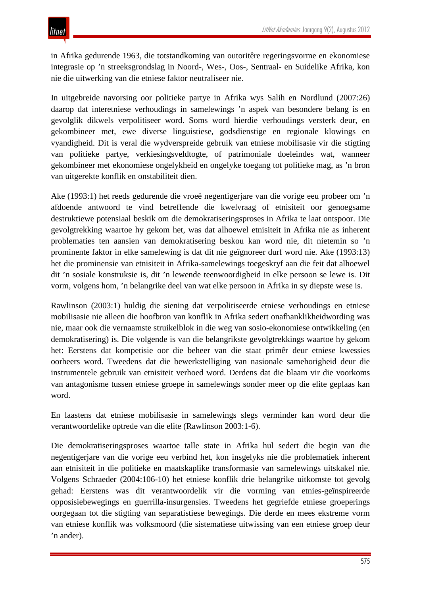in Afrika gedurende 1963, die totstandkoming van outoritêre regeringsvorme en ekonomiese integrasie op 'n streeksgrondslag in Noord-, Wes-, Oos-, Sentraal- en Suidelike Afrika, kon nie die uitwerking van die etniese faktor neutraliseer nie.

In uitgebreide navorsing oor politieke partye in Afrika wys Salih en Nordlund (2007:26) daarop dat interetniese verhoudings in samelewings 'n aspek van besondere belang is en gevolglik dikwels verpolitiseer word. Soms word hierdie verhoudings versterk deur, en gekombineer met, ewe diverse linguistiese, godsdienstige en regionale klowings en vyandigheid. Dit is veral die wydverspreide gebruik van etniese mobilisasie vir die stigting van politieke partye, verkiesingsveldtogte, of patrimoniale doeleindes wat, wanneer gekombineer met ekonomiese ongelykheid en ongelyke toegang tot politieke mag, as 'n bron van uitgerekte konflik en onstabiliteit dien.

Ake (1993:1) het reeds gedurende die vroeë negentigerjare van die vorige eeu probeer om 'n afdoende antwoord te vind betreffende die kwelvraag of etnisiteit oor genoegsame destruktiewe potensiaal beskik om die demokratiseringsproses in Afrika te laat ontspoor. Die gevolgtrekking waartoe hy gekom het, was dat alhoewel etnisiteit in Afrika nie as inherent problematies ten aansien van demokratisering beskou kan word nie, dit nietemin so 'n prominente faktor in elke samelewing is dat dit nie geïgnoreer durf word nie. Ake (1993:13) het die prominensie van etnisiteit in Afrika-samelewings toegeskryf aan die feit dat alhoewel dit 'n sosiale konstruksie is, dit 'n lewende teenwoordigheid in elke persoon se lewe is. Dit vorm, volgens hom, 'n belangrike deel van wat elke persoon in Afrika in sy diepste wese is.

Rawlinson (2003:1) huldig die siening dat verpolitiseerde etniese verhoudings en etniese mobilisasie nie alleen die hoofbron van konflik in Afrika sedert onafhanklikheidwording was nie, maar ook die vernaamste struikelblok in die weg van sosio-ekonomiese ontwikkeling (en demokratisering) is. Die volgende is van die belangrikste gevolgtrekkings waartoe hy gekom het: Eerstens dat kompetisie oor die beheer van die staat primêr deur etniese kwessies oorheers word. Tweedens dat die bewerkstelliging van nasionale samehorigheid deur die instrumentele gebruik van etnisiteit verhoed word. Derdens dat die blaam vir die voorkoms van antagonisme tussen etniese groepe in samelewings sonder meer op die elite geplaas kan word.

En laastens dat etniese mobilisasie in samelewings slegs verminder kan word deur die verantwoordelike optrede van die elite (Rawlinson 2003:1-6).

Die demokratiseringsproses waartoe talle state in Afrika hul sedert die begin van die negentigerjare van die vorige eeu verbind het, kon insgelyks nie die problematiek inherent aan etnisiteit in die politieke en maatskaplike transformasie van samelewings uitskakel nie. Volgens Schraeder (2004:106-10) het etniese konflik drie belangrike uitkomste tot gevolg gehad: Eerstens was dit verantwoordelik vir die vorming van etnies-geïnspireerde opposisiebewegings en guerrilla-insurgensies. Tweedens het gegriefde etniese groeperings oorgegaan tot die stigting van separatistiese bewegings. Die derde en mees ekstreme vorm van etniese konflik was volksmoord (die sistematiese uitwissing van een etniese groep deur 'n ander).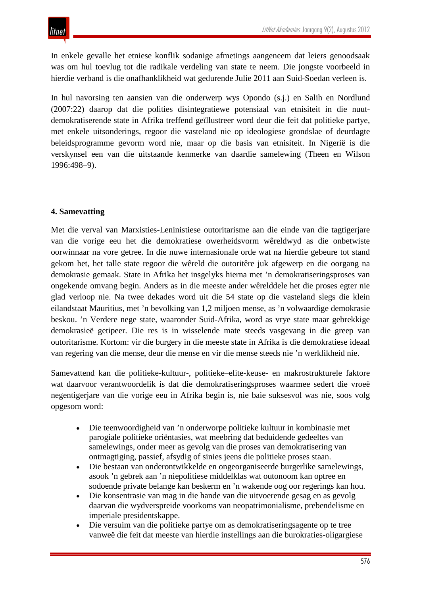In enkele gevalle het etniese konflik sodanige afmetings aangeneem dat leiers genoodsaak was om hul toevlug tot die radikale verdeling van state te neem. Die jongste voorbeeld in hierdie verband is die onafhanklikheid wat gedurende Julie 2011 aan Suid-Soedan verleen is.

In hul navorsing ten aansien van die onderwerp wys Opondo (s.j.) en Salih en Nordlund (2007:22) daarop dat die polities disintegratiewe potensiaal van etnisiteit in die nuutdemokratiserende state in Afrika treffend geïllustreer word deur die feit dat politieke partye, met enkele uitsonderings, regoor die vasteland nie op ideologiese grondslae of deurdagte beleidsprogramme gevorm word nie, maar op die basis van etnisiteit. In Nigerië is die verskynsel een van die uitstaande kenmerke van daardie samelewing (Theen en Wilson 1996:498–9).

## **4. Samevatting**

Met die verval van Marxisties-Leninistiese outoritarisme aan die einde van die tagtigerjare van die vorige eeu het die demokratiese owerheidsvorm wêreldwyd as die onbetwiste oorwinnaar na vore getree. In die nuwe internasionale orde wat na hierdie gebeure tot stand gekom het, het talle state regoor die wêreld die outoritêre juk afgewerp en die oorgang na demokrasie gemaak. State in Afrika het insgelyks hierna met 'n demokratiseringsproses van ongekende omvang begin. Anders as in die meeste ander wêrelddele het die proses egter nie glad verloop nie. Na twee dekades word uit die 54 state op die vasteland slegs die klein eilandstaat Mauritius, met 'n bevolking van 1,2 miljoen mense, as 'n volwaardige demokrasie beskou. 'n Verdere nege state, waaronder Suid-Afrika, word as vrye state maar gebrekkige demokrasieë getipeer. Die res is in wisselende mate steeds vasgevang in die greep van outoritarisme. Kortom: vir die burgery in die meeste state in Afrika is die demokratiese ideaal van regering van die mense, deur die mense en vir die mense steeds nie 'n werklikheid nie.

Samevattend kan die politieke-kultuur-, politieke–elite-keuse- en makrostrukturele faktore wat daarvoor verantwoordelik is dat die demokratiseringsproses waarmee sedert die vroeë negentigerjare van die vorige eeu in Afrika begin is, nie baie suksesvol was nie, soos volg opgesom word:

- Die teenwoordigheid van 'n onderworpe politieke kultuur in kombinasie met parogiale politieke oriëntasies, wat meebring dat beduidende gedeeltes van samelewings, onder meer as gevolg van die proses van demokratisering van ontmagtiging, passief, afsydig of sinies jeens die politieke proses staan.
- Die bestaan van onderontwikkelde en ongeorganiseerde burgerlike samelewings, asook 'n gebrek aan 'n niepolitiese middelklas wat outonoom kan optree en sodoende private belange kan beskerm en 'n wakende oog oor regerings kan hou.
- Die konsentrasie van mag in die hande van die uitvoerende gesag en as gevolg daarvan die wydverspreide voorkoms van neopatrimonialisme, prebendelisme en imperiale presidentskappe.
- Die versuim van die politieke partye om as demokratiseringsagente op te tree vanweë die feit dat meeste van hierdie instellings aan die burokraties-oligargiese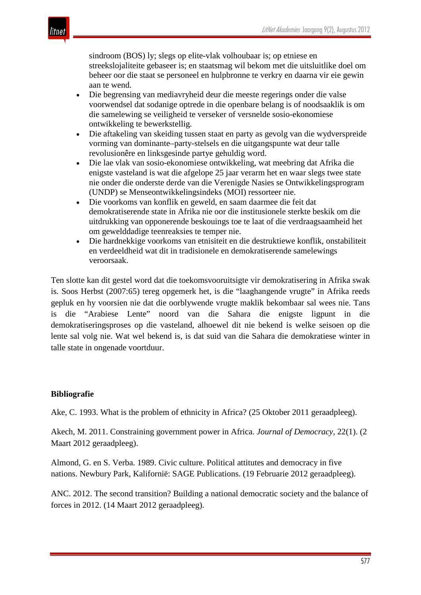sindroom (BOS) ly; slegs op elite-vlak volhoubaar is; op etniese en streekslojaliteite gebaseer is; en staatsmag wil bekom met die uitsluitlike doel om beheer oor die staat se personeel en hulpbronne te verkry en daarna vir eie gewin aan te wend.

- Die begrensing van mediavryheid deur die meeste regerings onder die valse voorwendsel dat sodanige optrede in die openbare belang is of noodsaaklik is om die samelewing se veiligheid te verseker of versnelde sosio-ekonomiese ontwikkeling te bewerkstellig.
- Die aftakeling van skeiding tussen staat en party as gevolg van die wydverspreide vorming van dominante–party-stelsels en die uitgangspunte wat deur talle revolusionêre en linksgesinde partye gehuldig word.
- Die lae vlak van sosio-ekonomiese ontwikkeling, wat meebring dat Afrika die enigste vasteland is wat die afgelope 25 jaar verarm het en waar slegs twee state nie onder die onderste derde van die Verenigde Nasies se Ontwikkelingsprogram (UNDP) se Menseontwikkelingsindeks (MOI) ressorteer nie.
- Die voorkoms van konflik en geweld, en saam daarmee die feit dat demokratiserende state in Afrika nie oor die institusionele sterkte beskik om die uitdrukking van opponerende beskouings toe te laat of die verdraagsaamheid het om gewelddadige teenreaksies te temper nie.
- Die hardnekkige voorkoms van etnisiteit en die destruktiewe konflik, onstabiliteit en verdeeldheid wat dit in tradisionele en demokratiserende samelewings veroorsaak.

Ten slotte kan dit gestel word dat die toekomsvooruitsigte vir demokratisering in Afrika swak is. Soos Herbst (2007:65) tereg opgemerk het, is die "laaghangende vrugte" in Afrika reeds gepluk en hy voorsien nie dat die oorblywende vrugte maklik bekombaar sal wees nie. Tans is die "Arabiese Lente" noord van die Sahara die enigste ligpunt in die demokratiseringsproses op die vasteland, alhoewel dit nie bekend is welke seisoen op die lente sal volg nie. Wat wel bekend is, is dat suid van die Sahara die demokratiese winter in talle state in ongenade voortduur.

## **Bibliografie**

Ake, C. 1993. What is the problem of ethnicity in Africa? (25 Oktober 2011 geraadpleeg).

Akech, M. 2011. Constraining government power in Africa. *Journal of Democracy*, 22(1). (2 Maart 2012 geraadpleeg).

Almond, G. en S. Verba. 1989. Civic culture. Political attitutes and democracy in five nations. Newbury Park, Kalifornië: SAGE Publications. (19 Februarie 2012 geraadpleeg).

ANC. 2012. The second transition? Building a national democratic society and the balance of forces in 2012. (14 Maart 2012 geraadpleeg).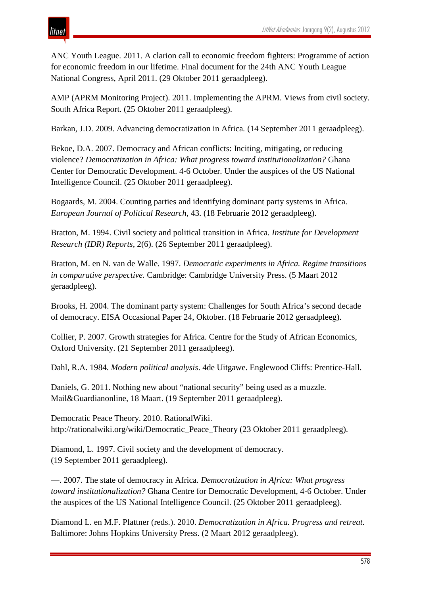ANC Youth League. 2011. A clarion call to economic freedom fighters: Programme of action for economic freedom in our lifetime. Final document for the 24th ANC Youth League National Congress, April 2011. (29 Oktober 2011 geraadpleeg).

AMP (APRM Monitoring Project). 2011. Implementing the APRM. Views from civil society. South Africa Report. (25 Oktober 2011 geraadpleeg).

Barkan, J.D. 2009. Advancing democratization in Africa*.* (14 September 2011 geraadpleeg).

Bekoe, D.A. 2007. Democracy and African conflicts: Inciting, mitigating, or reducing violence? *Democratization in Africa: What progress toward institutionalization?* Ghana Center for Democratic Development. 4-6 October. Under the auspices of the US National Intelligence Council. (25 Oktober 2011 geraadpleeg).

Bogaards, M. 2004. [Counting parties and identifying dominant party systems in Africa.](https://docs.google.com/viewer?a=v&q=cache:7jm_AeN5w2AJ:www.olemiss.edu/courses/pol628/bogaards04.pdf+Bogaards+on+dominant+party+systems&hl=af&gl=za&pid=bl&srcid=ADGEESiLgPpFwGLmPbTbDDzNXVnhpiogm6el_WcVqwgRvEwi4IhDL7AGrbbOFhxfYR8GqSy3QYvCuZklxn2JLOg1DlyqDuivI1ZR22IInbTPzYvOkZPwYD7vpxQESSjYBwovmP-QaAp1&sig=AHIEtbTPe) *European Journal of Political Research*, 43. (18 Februarie 2012 geraadpleeg).

Bratton, M. 1994. Civil society and political transition in Africa*. Institute for Development Research (IDR) Reports*, 2(6). (26 September 2011 geraadpleeg).

Bratton, M. en N. van de Walle. 1997. *Democratic experiments in Africa. Regime transitions in comparative perspective.* Cambridge: Cambridge University Press. (5 Maart 2012 geraadpleeg).

Brooks, H. 2004. The dominant party system: Challenges for South Africa's second decade of democracy. EISA Occasional Paper 24, Oktober. (18 Februarie 2012 geraadpleeg).

Collier, P. 2007. Growth strategies for Africa. Centre for the Study of African Economics, Oxford University. (21 September 2011 geraadpleeg).

Dahl, R.A. 1984. *Modern political analysis*. 4de Uitgawe. Englewood Cliffs: Prentice-Hall.

Daniels, G. 2011. Nothing new about "national security" being used as a muzzle. Mail&Guardianonline, 18 Maart. (19 September 2011 geraadpleeg).

Democratic Peace Theory. 2010. RationalWiki. http://rationalwiki.org/wiki/Democratic\_Peace\_Theory (23 Oktober 2011 geraadpleeg).

Diamond, L. 1997. Civil society and the development of democracy. (19 September 2011 geraadpleeg).

—. 2007. The state of democracy in Africa. *Democratization in Africa: What progress toward institutionalization?* Ghana Centre for Democratic Development, 4-6 October. Under the auspices of the US National Intelligence Council. (25 Oktober 2011 geraadpleeg).

Diamond L. en M.F. Plattner (reds.). 2010. *Democratization in Africa. Progress and retreat.* Baltimore: Johns Hopkins University Press. (2 Maart 2012 geraadpleeg).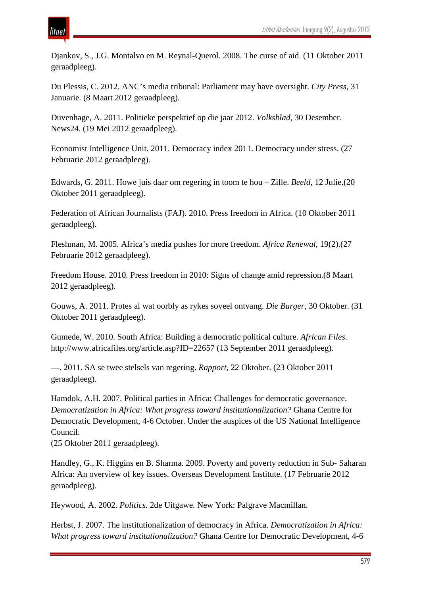## ıtnei

Djankov, S., J.G. Montalvo en M. Reynal-Querol. 2008. The curse of aid. (11 Oktober 2011 geraadpleeg).

Du Plessis, C. 2012. ANC's media tribunal: Parliament may have oversight. *City Press*, 31 Januarie. (8 Maart 2012 geraadpleeg).

Duvenhage, A. 2011. Politieke perspektief op die jaar 2012. *Volksblad,* 30 Desember. News24. (19 Mei 2012 geraadpleeg).

Economist Intelligence Unit. 2011. Democracy index 2011. Democracy under stress. (27 Februarie 2012 geraadpleeg).

Edwards, G. 2011. Howe juis daar om regering in toom te hou – Zille. *Beeld*, 12 Julie.(20 Oktober 2011 geraadpleeg).

Federation of African Journalists (FAJ). 2010. Press freedom in Africa. (10 Oktober 2011 geraadpleeg).

Fleshman, M. 2005. Africa's media pushes for more freedom. *Africa Renewal*, 19(2).(27 Februarie 2012 geraadpleeg).

Freedom House. 2010. Press freedom in 2010: Signs of change amid repression.(8 Maart 2012 geraadpleeg).

Gouws, A. 2011. Protes al wat oorbly as rykes soveel ontvang. *Die Burger*, 30 Oktober. (31 Oktober 2011 geraadpleeg).

Gumede, W. 2010. South Africa: Building a democratic political culture. *African Files*. http://www.africafiles.org/article.asp?ID=22657 (13 September 2011 geraadpleeg).

—. 2011. SA se twee stelsels van regering. *Rapport*, 22 Oktober. (23 Oktober 2011 geraadpleeg).

Hamdok, A.H. 2007. Political parties in Africa: Challenges for democratic governance. *Democratization in Africa: What progress toward institutionalization?* Ghana Centre for Democratic Development, 4-6 October. Under the auspices of the US National Intelligence Council.

(25 Oktober 2011 geraadpleeg).

Handley, G., K. Higgins en B. Sharma. 2009. Poverty and poverty reduction in Sub- Saharan Africa: An overview of key issues. Overseas Development Institute. (17 Februarie 2012 geraadpleeg).

Heywood, A. 2002. *Politics.* 2de Uitgawe. New York: Palgrave Macmillan.

Herbst, J. 2007. The institutionalization of democracy in Africa. *Democratization in Africa: What progress toward institutionalization?* Ghana Centre for Democratic Development, 4-6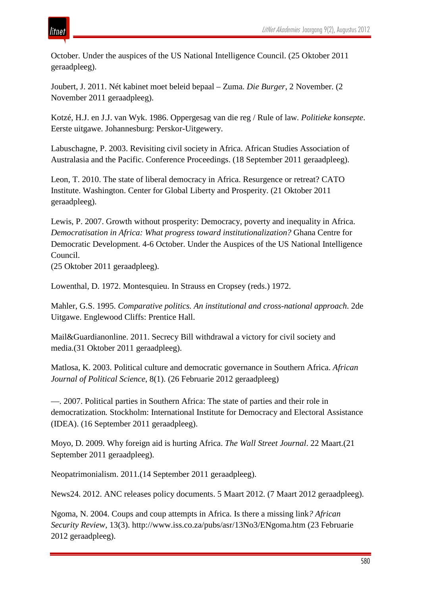October. Under the auspices of the US National Intelligence Council. (25 Oktober 2011 geraadpleeg).

Joubert, J. 2011. Nét kabinet moet beleid bepaal – Zuma. *Die Burger*, 2 November. (2 November 2011 geraadpleeg).

Kotzé, H.J. en J.J. van Wyk. 1986. Oppergesag van die reg / Rule of law*. Politieke konsepte*. Eerste uitgawe. Johannesburg: Perskor-Uitgewery.

Labuschagne, P. 2003. Revisiting civil society in Africa. African Studies Association of Australasia and the Pacific. Conference Proceedings. (18 September 2011 geraadpleeg).

Leon, T. 2010. The state of liberal democracy in Africa. Resurgence or retreat? CATO Institute. Washington. Center for Global Liberty and Prosperity. (21 Oktober 2011 geraadpleeg).

Lewis, P. 2007. Growth without prosperity: Democracy, poverty and inequality in Africa. *Democratisation in Africa: What progress toward institutionalization?* Ghana Centre for Democratic Development. 4-6 October. Under the Auspices of the US National Intelligence Council.

(25 Oktober 2011 geraadpleeg).

Lowenthal, D. 1972. Montesquieu. In Strauss en Cropsey (reds.) 1972.

Mahler, G.S. 1995. *Comparative politics. An institutional and cross-national approach*. 2de Uitgawe. Englewood Cliffs: Prentice Hall.

Mail&Guardianonline. 2011. Secrecy Bill withdrawal a victory for civil society and media.(31 Oktober 2011 geraadpleeg).

Matlosa, K. 2003. Political culture and democratic governance in Southern Africa. *African Journal of Political Science*, 8(1). (26 Februarie 2012 geraadpleeg)

—. 2007. Political parties in Southern Africa: The state of parties and their role in democratization*.* Stockholm: International Institute for Democracy and Electoral Assistance (IDEA). (16 September 2011 geraadpleeg).

Moyo, D. 2009. Why foreign aid is hurting Africa. *The Wall Street Journal*. 22 Maart.(21 September 2011 geraadpleeg).

[Neopatrimonialism.](http://en.wikipedia.org/wiki/Neopatrimonialism) 2011.(14 September 2011 geraadpleeg).

News24. 2012. ANC releases policy documents. 5 Maart 2012. (7 Maart 2012 geraadpleeg).

Ngoma, N. 2004. Coups and coup attempts in Africa. Is there a missing link*? African Security Review*, 13(3). http://www.iss.co.za/pubs/asr/13No3/ENgoma.htm (23 Februarie 2012 geraadpleeg).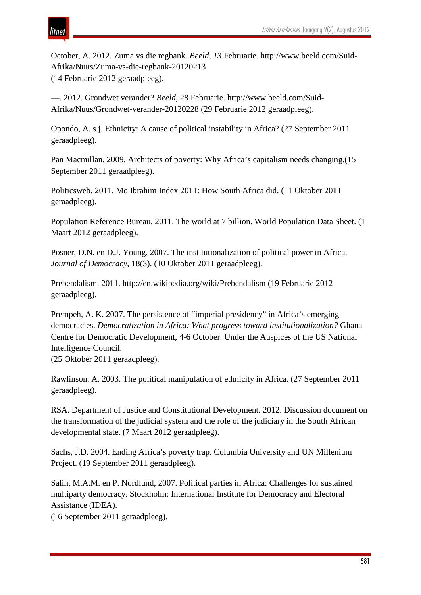# itnet

October, A. 2012. Zuma vs die regbank. *Beeld, 13* Februarie*.* http://www.beeld.com/Suid-Afrika/Nuus/Zuma-vs-die-regbank-20120213 (14 Februarie 2012 geraadpleeg).

—. 2012. Grondwet verander? *Beeld*, 28 Februarie. http://www.beeld.com/Suid-Afrika/Nuus/Grondwet-verander-20120228 (29 Februarie 2012 geraadpleeg).

Opondo, A. s.j. [Ethnicity: A cause of political instability in Africa?](http://docs.google.com/viewer?a=v&q=cache:H_uxF7WpOj0J:www.grandslacs.net/doc/2731.pdf+ethnicity+in+africa&hl=en&gl=za&pid=bl&srcid=ADGEESiOeKU5Dy7HvUEhkHMYQFx6Ibc58xbI_P6DMMEiyWUlcdScaPUpIWy6fwLiVscN6iNDlQQnvmWlT0e_zZT54WP9V7Vo2o0GMe4Mwj89MouauHWA0NJnXc4TtsBsiaw3tuS_ki&sig=AHIEtbRJzI8Rl_vAMKJGAjs4FFyEe5VPDA) (27 September 2011 geraadpleeg).

Pan Macmillan. 2009. Architects of poverty: Why Africa's capitalism needs changing.(15 September 2011 geraadpleeg).

Politicsweb. 2011. Mo Ibrahim Index 2011: How South Africa did. (11 Oktober 2011 geraadpleeg).

Population Reference Bureau. 2011. The world at 7 billion. World Population Data Sheet. (1 Maart 2012 geraadpleeg).

Posner, D.N. en D.J. Young. 2007. The institutionalization of political power in Africa. *Journal of Democracy*, 18(3). (10 Oktober 2011 geraadpleeg).

Prebendalism. 2011. http://en.wikipedia.org/wiki/Prebendalism (19 Februarie 2012 geraadpleeg).

Prempeh, A. K. 2007. The persistence of "imperial presidency" in Africa's emerging democracies. *Democratization in Africa: What progress toward institutionalization?* Ghana Centre for Democratic Development, 4-6 October. Under the Auspices of the US National Intelligence Council.

(25 Oktober 2011 geraadpleeg).

Rawlinson. A. 2003. The political manipulation of ethnicity in Africa. (27 September 2011 geraadpleeg).

RSA. Department of Justice and Constitutional Development. 2012. Discussion document on the transformation of the judicial system and the role of the judiciary in the South African developmental state. (7 Maart 2012 geraadpleeg).

Sachs, J.D. 2004. Ending Africa's poverty trap. Columbia University and UN Millenium Project. (19 September 2011 geraadpleeg).

Salih, M.A.M. en P. Nordlund, 2007. Political parties in Africa: Challenges for sustained multiparty democracy. Stockholm: International Institute for Democracy and Electoral Assistance (IDEA).

(16 September 2011 geraadpleeg).